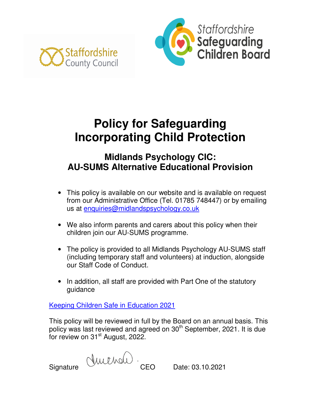



# **Policy for Safeguarding Incorporating Child Protection**

# **Midlands Psychology CIC: AU-SUMS Alternative Educational Provision**

- This policy is available on our website and is available on request from our Administrative Office (Tel. 01785 748447) or by emailing us at enquiries@midlandspsychology.co.uk
- We also inform parents and carers about this policy when their children join our AU-SUMS programme.
- The policy is provided to all Midlands Psychology AU-SUMS staff (including temporary staff and volunteers) at induction, alongside our Staff Code of Conduct.
- In addition, all staff are provided with Part One of the statutory guidance

Keeping Children Safe in Education 2021

This policy will be reviewed in full by the Board on an annual basis. This policy was last reviewed and agreed on 30<sup>th</sup> September, 2021. It is due for review on 31<sup>st</sup> August, 2022.

Signature  $\bigcup_{\text{U}\cup\text{U}}$  CEO Date: 03.10.2021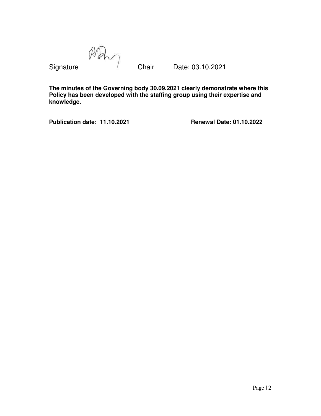RA

Signature **Chair** Date: 03.10.2021

**The minutes of the Governing body 30.09.2021 clearly demonstrate where this Policy has been developed with the staffing group using their expertise and knowledge.** 

**Publication date: 11.10.2021 Renewal Date: 01.10.2022**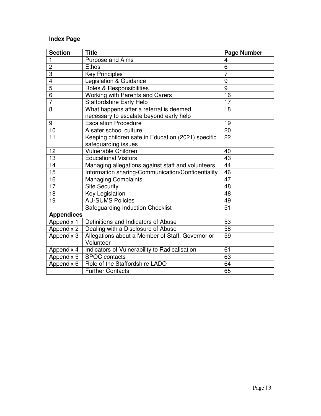# **Index Page**

| <b>Section</b>          | <b>Title</b>                                       | <b>Page Number</b> |  |  |  |
|-------------------------|----------------------------------------------------|--------------------|--|--|--|
| 1                       | Purpose and Aims                                   | 4                  |  |  |  |
| $\overline{c}$          | <b>Ethos</b>                                       | 6                  |  |  |  |
| 3                       | <b>Key Principles</b>                              | $\overline{7}$     |  |  |  |
| $\overline{\mathbf{4}}$ | Legislation & Guidance                             | 9                  |  |  |  |
| $\overline{5}$          | Roles & Responsibilities                           | $\overline{9}$     |  |  |  |
| $\overline{6}$          | Working with Parents and Carers                    | 16                 |  |  |  |
| $\overline{7}$          | <b>Staffordshire Early Help</b>                    | 17                 |  |  |  |
| 8                       | What happens after a referral is deemed            | 18                 |  |  |  |
|                         | necessary to escalate beyond early help            |                    |  |  |  |
| 9                       | <b>Escalation Procedure</b>                        | 19                 |  |  |  |
| 10                      | A safer school culture                             | 20                 |  |  |  |
| 11                      | Keeping children safe in Education (2021) specific | 22                 |  |  |  |
|                         | safeguarding issues                                |                    |  |  |  |
| 12                      | Vulnerable Children                                | 40                 |  |  |  |
| 13                      | <b>Educational Visitors</b>                        | 43                 |  |  |  |
| 14                      | Managing allegations against staff and volunteers  | 44                 |  |  |  |
| $\overline{15}$         | Information sharing-Communication/Confidentiality  | 46                 |  |  |  |
| 16                      | <b>Managing Complaints</b>                         | 47                 |  |  |  |
| $\overline{17}$         | <b>Site Security</b>                               | $\overline{48}$    |  |  |  |
| 18                      | Key Legislation                                    | 48                 |  |  |  |
| 19                      | <b>AU-SUMS Policies</b>                            | 49                 |  |  |  |
|                         | <b>Safeguarding Induction Checklist</b>            | $\overline{51}$    |  |  |  |
| <b>Appendices</b>       |                                                    |                    |  |  |  |
| Appendix 1              | Definitions and Indicators of Abuse                | 53                 |  |  |  |
| Appendix 2              | Dealing with a Disclosure of Abuse                 | 58                 |  |  |  |
| Appendix 3              | Allegations about a Member of Staff, Governor or   | 59                 |  |  |  |
|                         | Volunteer                                          |                    |  |  |  |
| Appendix 4              | Indicators of Vulnerability to Radicalisation      | 61                 |  |  |  |
| Appendix 5              | <b>SPOC</b> contacts                               | 63                 |  |  |  |
| Appendix 6              | Role of the Staffordshire LADO                     | 64                 |  |  |  |
|                         | <b>Further Contacts</b>                            | 65                 |  |  |  |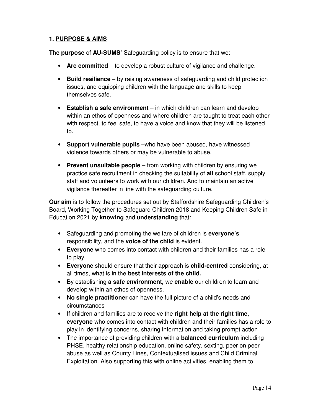# **1. PURPOSE & AIMS**

**The purpose** of **AU-SUMS'** Safeguarding policy is to ensure that we:

- **Are committed**  to develop a robust culture of vigilance and challenge.
- **Build resilience**  by raising awareness of safeguarding and child protection issues, and equipping children with the language and skills to keep themselves safe.
- **Establish a safe environment**  in which children can learn and develop within an ethos of openness and where children are taught to treat each other with respect, to feel safe, to have a voice and know that they will be listened to.
- **Support vulnerable pupils** –who have been abused, have witnessed violence towards others or may be vulnerable to abuse.
- **Prevent unsuitable people**  from working with children by ensuring we practice safe recruitment in checking the suitability of **all** school staff, supply staff and volunteers to work with our children. And to maintain an active vigilance thereafter in line with the safeguarding culture.

**Our aim** is to follow the procedures set out by Staffordshire Safeguarding Children's Board, Working Together to Safeguard Children 2018 and Keeping Children Safe in Education 2021 by **knowing** and **understanding** that:

- Safeguarding and promoting the welfare of children is **everyone's** responsibility, and the **voice of the child** is evident.
- **Everyone** who comes into contact with children and their families has a role to play.
- **Everyone** should ensure that their approach is **child-centred** considering, at all times, what is in the **best interests of the child.**
- By establishing **a safe environment,** we **enable** our children to learn and develop within an ethos of openness.
- **No single practitioner** can have the full picture of a child's needs and circumstances
- If children and families are to receive the **right help at the right time**, **everyone** who comes into contact with children and their families has a role to play in identifying concerns, sharing information and taking prompt action
- The importance of providing children with a **balanced curriculum** including PHSE, healthy relationship education, online safety, sexting, peer on peer abuse as well as County Lines, Contextualised issues and Child Criminal Exploitation. Also supporting this with online activities, enabling them to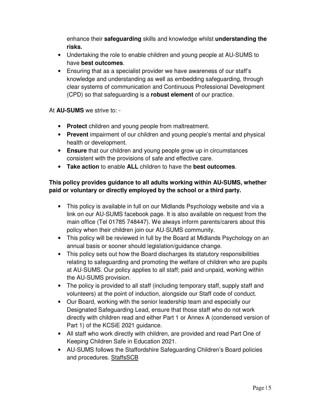enhance their **safeguarding** skills and knowledge whilst **understanding the risks.**

- Undertaking the role to enable children and young people at AU-SUMS to have **best outcomes**.
- Ensuring that as a specialist provider we have awareness of our staff's knowledge and understanding as well as embedding safeguarding, through clear systems of communication and Continuous Professional Development (CPD) so that safeguarding is a **robust element** of our practice.

At **AU-SUMS** we strive to: -

- **Protect** children and young people from maltreatment.
- **Prevent** impairment of our children and young people's mental and physical health or development.
- **Ensure** that our children and young people grow up in circumstances consistent with the provisions of safe and effective care.
- **Take action** to enable **ALL** children to have the **best outcomes**.

# **This policy provides guidance to all adults working within AU-SUMS, whether paid or voluntary or directly employed by the school or a third party.**

- This policy is available in full on our Midlands Psychology website and via a link on our AU-SUMS facebook page. It is also available on request from the main office (Tel 01785 748447). We always inform parents/carers about this policy when their children join our AU-SUMS community.
- This policy will be reviewed in full by the Board at Midlands Psychology on an annual basis or sooner should legislation/guidance change.
- This policy sets out how the Board discharges its statutory responsibilities relating to safeguarding and promoting the welfare of children who are pupils at AU-SUMS. Our policy applies to all staff; paid and unpaid, working within the AU-SUMS provision.
- The policy is provided to all staff (including temporary staff, supply staff and volunteers) at the point of induction, alongside our Staff code of conduct.
- Our Board, working with the senior leadership team and especially our Designated Safeguarding Lead, ensure that those staff who do not work directly with children read and either Part 1 or Annex A (condensed version of Part 1) of the KCSiE 2021 guidance.
- All staff who work directly with children, are provided and read Part One of Keeping Children Safe in Education 2021.
- AU-SUMS follows the Staffordshire Safeguarding Children's Board policies and procedures. StaffsSCB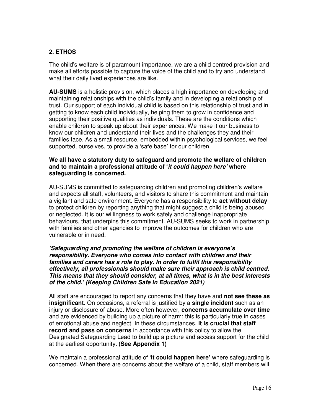# **2. ETHOS**

The child's welfare is of paramount importance, we are a child centred provision and make all efforts possible to capture the voice of the child and to try and understand what their daily lived experiences are like.

**AU-SUMS** is a holistic provision, which places a high importance on developing and maintaining relationships with the child's family and in developing a relationship of trust. Our support of each individual child is based on this relationship of trust and in getting to know each child individually, helping them to grow in confidence and supporting their positive qualities as individuals. These are the conditions which enable children to speak up about their experiences. We make it our business to know our children and understand their lives and the challenges they and their families face. As a small resource, embedded within psychological services, we feel supported, ourselves, to provide a 'safe base' for our children.

#### **We all have a statutory duty to safeguard and promote the welfare of children and to maintain a professional attitude of 'it could happen here' where safeguarding is concerned.**

AU-SUMS is committed to safeguarding children and promoting children's welfare and expects all staff, volunteers, and visitors to share this commitment and maintain a vigilant and safe environment. Everyone has a responsibility to **act without delay** to protect children by reporting anything that might suggest a child is being abused or neglected. It is our willingness to work safely and challenge inappropriate behaviours, that underpins this commitment. AU-SUMS seeks to work in partnership with families and other agencies to improve the outcomes for children who are vulnerable or in need.

**'Safeguarding and promoting the welfare of children is everyone's responsibility. Everyone who comes into contact with children and their families and carers has a role to play. In order to fulfil this responsibility effectively, all professionals should make sure their approach is child centred. This means that they should consider, at all times, what is in the best interests of the child.' (Keeping Children Safe in Education 2021)** 

All staff are encouraged to report any concerns that they have and **not see these as insignificant.** On occasions, a referral is justified by a **single incident** such as an injury or disclosure of abuse. More often however, **concerns accumulate over time** and are evidenced by building up a picture of harm; this is particularly true in cases of emotional abuse and neglect. In these circumstances, **it is crucial that staff record and pass on concerns** in accordance with this policy to allow the Designated Safeguarding Lead to build up a picture and access support for the child at the earliest opportunity**. (See Appendix 1)** 

We maintain a professional attitude of '**it could happen here'** where safeguarding is concerned. When there are concerns about the welfare of a child, staff members will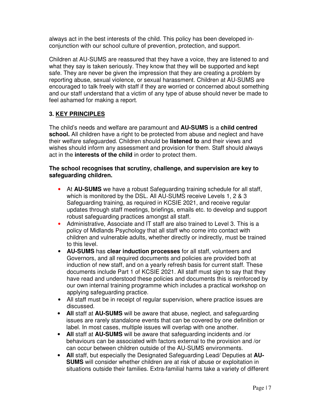always act in the best interests of the child. This policy has been developed inconjunction with our school culture of prevention, protection, and support.

Children at AU-SUMS are reassured that they have a voice, they are listened to and what they say is taken seriously. They know that they will be supported and kept safe. They are never be given the impression that they are creating a problem by reporting abuse, sexual violence, or sexual harassment. Children at AU-SUMS are encouraged to talk freely with staff if they are worried or concerned about something and our staff understand that a victim of any type of abuse should never be made to feel ashamed for making a report.

# **3. KEY PRINCIPLES**

The child's needs and welfare are paramount and **AU-SUMS** is a **child centred school.** All children have a right to be protected from abuse and neglect and have their welfare safeguarded. Children should be **listened to** and their views and wishes should inform any assessment and provision for them. Staff should always act in the **interests of the child** in order to protect them.

#### **The school recognises that scrutiny, challenge, and supervision are key to safeguarding children.**

- At **AU-SUMS** we have a robust Safeguarding training schedule for all staff, which is monitored by the DSL. All AU-SUMS receive Levels 1, 2 & 3 Safeguarding training, as required in KCSIE 2021, and receive regular updates through staff meetings, briefings, emails etc. to develop and support robust safeguarding practices amongst all staff.
- Administrative, Associate and IT staff are also trained to Level 3. This is a policy of Midlands Psychology that all staff who come into contact with children and vulnerable adults, whether directly or indirectly, must be trained to this level.
- **AU-SUMS** has **clear induction processes** for all staff, volunteers and Governors, and all required documents and policies are provided both at induction of new staff, and on a yearly refresh basis for current staff. These documents include Part 1 of KCSIE 2021. All staff must sign to say that they have read and understood these policies and documents this is reinforced by our own internal training programme which includes a practical workshop on applying safeguarding practice.
- All staff must be in receipt of regular supervision, where practice issues are discussed.
- **All** staff at **AU-SUMS** will be aware that abuse, neglect, and safeguarding issues are rarely standalone events that can be covered by one definition or label. In most cases, multiple issues will overlap with one another.
- **All** staff at **AU-SUMS** will be aware that safeguarding incidents and /or behaviours can be associated with factors external to the provision and /or can occur between children outside of the AU-SUMS environments.
- **All** staff, but especially the Designated Safeguarding Lead/ Deputies at **AU-SUMS** will consider whether children are at risk of abuse or exploitation in situations outside their families. Extra-familial harms take a variety of different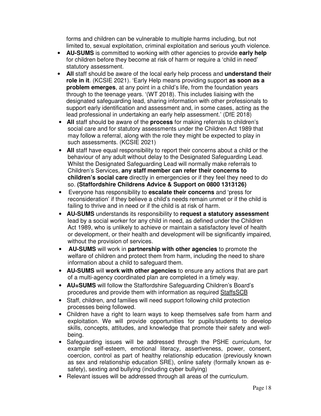forms and children can be vulnerable to multiple harms including, but not limited to, sexual exploitation, criminal exploitation and serious youth violence.

- **AU-SUMS** is committed to working with other agencies to provide **early help** for children before they become at risk of harm or require a 'child in need' statutory assessment.
- **All** staff should be aware of the local early help process and **understand their role in it**. (KCSIE 2021). 'Early Help means providing support **as soon as a problem emerges**, at any point in a child's life, from the foundation years through to the teenage years. '(WT 2018). This includes liaising with the designated safeguarding lead, sharing information with other professionals to support early identification and assessment and, in some cases, acting as the lead professional in undertaking an early help assessment.' (DfE 2018)
- **All** staff should be aware of the **process** for making referrals to children's social care and for statutory assessments under the Children Act 1989 that may follow a referral, along with the role they might be expected to play in such assessments. (KCSIE 2021)
- All staff have equal responsibility to report their concerns about a child or the behaviour of any adult without delay to the Designated Safeguarding Lead. Whilst the Designated Safeguarding Lead will normally make referrals to Children's Services, **any staff member can refer their concerns to children's social care** directly in emergencies or if they feel they need to do so. **(Staffordshire Childrens Advice & Support on 0800 1313126)**
- Everyone has responsibility to **escalate their concerns** and 'press for reconsideration' if they believe a child's needs remain unmet or if the child is failing to thrive and in need or if the child is at risk of harm.
- **AU-SUMS** understands its responsibility to **request a statutory assessment** lead by a social worker for any child in need, as defined under the Children Act 1989, who is unlikely to achieve or maintain a satisfactory level of health or development, or their health and development will be significantly impaired, without the provision of services.
- **AU-SUMS** will work in **partnership with other agencies** to promote the welfare of children and protect them from harm, including the need to share information about a child to safeguard them.
- **AU-SUMS** will **work with other agencies** to ensure any actions that are part of a multi-agency coordinated plan are completed in a timely way.
- **AU=SUMS** will follow the Staffordshire Safeguarding Children's Board's procedures and provide them with information as required StaffsSCB
- Staff, children, and families will need support following child protection processes being followed.
- Children have a right to learn ways to keep themselves safe from harm and exploitation. We will provide opportunities for pupils/students to develop skills, concepts, attitudes, and knowledge that promote their safety and wellbeing.
- Safeguarding issues will be addressed through the PSHE curriculum, for example self-esteem, emotional literacy, assertiveness, power, consent, coercion, control as part of healthy relationship education (previously known as sex and relationship education SRE), online safety (formally known as esafety), sexting and bullying (including cyber bullying)
- Relevant issues will be addressed through all areas of the curriculum.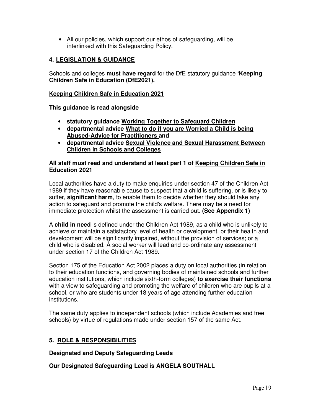• All our policies, which support our ethos of safeguarding, will be interlinked with this Safeguarding Policy.

# **4. LEGISLATION & GUIDANCE**

Schools and colleges **must have regard** for the DfE statutory guidance **'Keeping Children Safe in Education (DfE2021).** 

#### **Keeping Children Safe in Education 2021**

**This guidance is read alongside** 

- **statutory guidance Working Together to Safeguard Children**
- **departmental advice What to do if you are Worried a Child is being Abused-Advice for Practitioners and**
- **departmental advice Sexual Violence and Sexual Harassment Between Children in Schools and Colleges**

#### **All staff must read and understand at least part 1 of Keeping Children Safe in Education 2021**

Local authorities have a duty to make enquiries under section 47 of the Children Act 1989 if they have reasonable cause to suspect that a child is suffering, or is likely to suffer, **significant harm**, to enable them to decide whether they should take any action to safeguard and promote the child's welfare. There may be a need for immediate protection whilst the assessment is carried out. **(See Appendix 1)**

A **child in need** is defined under the Children Act 1989, as a child who is unlikely to achieve or maintain a satisfactory level of health or development, or their health and development will be significantly impaired, without the provision of services; or a child who is disabled. A social worker will lead and co-ordinate any assessment under section 17 of the Children Act 1989.

Section 175 of the Education Act 2002 places a duty on local authorities (in relation to their education functions, and governing bodies of maintained schools and further education institutions, which include sixth-form colleges) **to exercise their functions** with a view to safeguarding and promoting the welfare of children who are pupils at a school, or who are students under 18 years of age attending further education institutions.

The same duty applies to independent schools (which include Academies and free schools) by virtue of regulations made under section 157 of the same Act.

#### **5. ROLE & RESPONSIBILITIES**

**Designated and Deputy Safeguarding Leads** 

**Our Designated Safeguarding Lead is ANGELA SOUTHALL**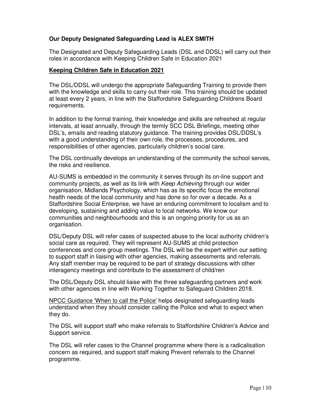# **Our Deputy Designated Safeguarding Lead is ALEX SMITH**

The Designated and Deputy Safeguarding Leads (DSL and DDSL) will carry out their roles in accordance with Keeping Children Safe in Education 2021

#### **Keeping Children Safe in Education 2021**

The DSL/DDSL will undergo the appropriate Safeguarding Training to provide them with the knowledge and skills to carry out their role. This training should be updated at least every 2 years, in line with the Staffordshire Safeguarding Childrens Board requirements.

In addition to the formal training, their knowledge and skills are refreshed at regular intervals, at least annually, through the termly SCC DSL Briefings, meeting other DSL's, emails and reading statutory guidance. The training provides DSL/DDSL's with a good understanding of their own role, the processes, procedures, and responsibilities of other agencies, particularly children's social care.

The DSL continually develops an understanding of the community the school serves, the risks and resilience.

AU-SUMS is embedded in the community it serves through its on-line support and community projects, as well as its link with *Keep Achieving* through our wider organisation, Midlands Psychology, which has as its specific focus the emotional health needs of the local community and has done so for over a decade. As a Staffordshire Social Enterprise, we have an enduring commitment to localism and to developing, sustaining and adding value to local networks. We know our communities and neighbourhoods and this is an ongoing priority for us as an organisation.

DSL/Deputy DSL will refer cases of suspected abuse to the local authority children's social care as required. They will represent AU-SUMS at child protection conferences and core group meetings. The DSL will be the expert within our setting to support staff in liaising with other agencies, making assessments and referrals. Any staff member may be required to be part of strategy discussions with other interagency meetings and contribute to the assessment of child/ren

The DSL/Deputy DSL should liaise with the three safeguarding partners and work with other agencies in line with Working Together to Safeguard Children 2018.

NPCC Guidance 'When to call the Police' helps designated safeguarding leads understand when they should consider calling the Police and what to expect when they do.

The DSL will support staff who make referrals to Staffordshire Children's Advice and Support service.

The DSL will refer cases to the Channel programme where there is a radicalisation concern as required, and support staff making Prevent referrals to the Channel programme.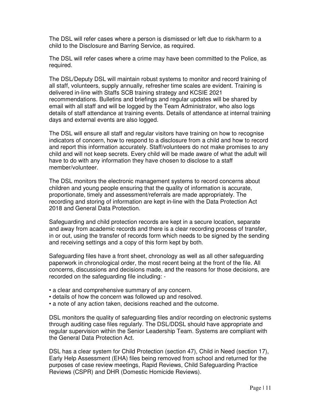The DSL will refer cases where a person is dismissed or left due to risk/harm to a child to the Disclosure and Barring Service, as required.

The DSL will refer cases where a crime may have been committed to the Police, as required.

The DSL/Deputy DSL will maintain robust systems to monitor and record training of all staff, volunteers, supply annually, refresher time scales are evident. Training is delivered in-line with Staffs SCB training strategy and KCSIE 2021 recommendations. Bulletins and briefings and regular updates will be shared by email with all staff and will be logged by the Team Administrator, who also logs details of staff attendance at training events. Details of attendance at internal training days and external events are also logged.

The DSL will ensure all staff and regular visitors have training on how to recognise indicators of concern, how to respond to a disclosure from a child and how to record and report this information accurately. Staff/volunteers do not make promises to any child and will not keep secrets. Every child will be made aware of what the adult will have to do with any information they have chosen to disclose to a staff member/volunteer.

The DSL monitors the electronic management systems to record concerns about children and young people ensuring that the quality of information is accurate, proportionate, timely and assessment/referrals are made appropriately. The recording and storing of information are kept in-line with the Data Protection Act 2018 and General Data Protection.

Safeguarding and child protection records are kept in a secure location, separate and away from academic records and there is a clear recording process of transfer, in or out, using the transfer of records form which needs to be signed by the sending and receiving settings and a copy of this form kept by both.

Safeguarding files have a front sheet, chronology as well as all other safeguarding paperwork in chronological order, the most recent being at the front of the file. All concerns, discussions and decisions made, and the reasons for those decisions, are recorded on the safeguarding file including: -

- a clear and comprehensive summary of any concern.
- details of how the concern was followed up and resolved.
- a note of any action taken, decisions reached and the outcome.

DSL monitors the quality of safeguarding files and/or recording on electronic systems through auditing case files regularly. The DSL/DDSL should have appropriate and regular supervision within the Senior Leadership Team. Systems are compliant with the General Data Protection Act.

DSL has a clear system for Child Protection (section 47), Child in Need (section 17), Early Help Assessment (EHA) files being removed from school and returned for the purposes of case review meetings, Rapid Reviews, Child Safeguarding Practice Reviews (CSPR) and DHR (Domestic Homicide Reviews).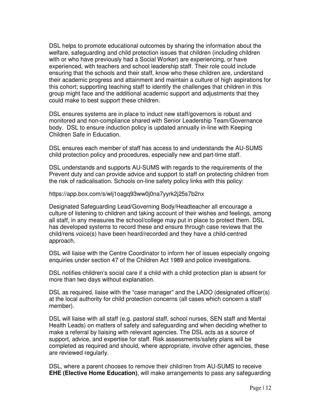DSL helps to promote educational outcomes by sharing the information about the welfare, safeguarding and child protection issues that children (including children with or who have previously had a Social Worker) are experiencing, or have experienced, with teachers and school leadership staff. Their role could include ensuring that the schools and their staff, know who these children are, understand their academic progress and attainment and maintain a culture of high aspirations for this cohort; supporting teaching staff to identify the challenges that children in this group might face and the additional academic support and adjustments that they could make to best support these children.

DSL ensures systems are in place to induct new staff/governors is robust and monitored and non-compliance shared with Senior Leadership Team/Governance body. DSL to ensure induction policy is updated annually in-line with Keeping Children Safe in Education.

DSL ensures each member of staff has access to and understands the AU-SUMS child protection policy and procedures, especially new and part-time staff.

DSL understands and supports AU-SUMS with regards to the requirements of the Prevent duty and can provide advice and support to staff on protecting children from the risk of radicalisation. Schools on-line safety policy links with this policy:

https://app.box.com/s/wlj1oagq93ww0j0na7yyrk2j25s7b2nx

Designated Safeguarding Lead/Governing Body/Headteacher all encourage a culture of listening to children and taking account of their wishes and feelings, among all staff, in any measures the school/college may put in place to protect them. DSL has developed systems to record these and ensure through case reviews that the child/rens voice(s) have been heard/recorded and they have a child-centred approach.

DSL will liaise with the Centre Coordinator to inform her of issues especially ongoing enquiries under section 47 of the Children Act 1989 and police investigations.

DSL notifies children's social care if a child with a child protection plan is absent for more than two days without explanation.

DSL as required, liaise with the "case manager" and the LADO (designated officer(s) at the local authority for child protection concerns (all cases which concern a staff member).

DSL will liaise with all staff (e.g. pastoral staff, school nurses, SEN staff and Mental Health Leads) on matters of safety and safeguarding and when deciding whether to make a referral by liaising with relevant agencies. The DSL acts as a source of support, advice, and expertise for staff. Risk assessments/safety plans will be completed as required and should, where appropriate, involve other agencies, these are reviewed regularly.

DSL, where a parent chooses to remove their child/ren from AU-SUMS to receive **EHE (Elective Home Education)**, will make arrangements to pass any safeguarding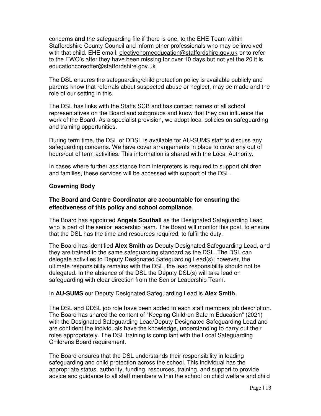concerns **and** the safeguarding file if there is one, to the EHE Team within Staffordshire County Council and inform other professionals who may be involved with that child. EHE email; electivehomeeducation@staffordshire.gov.uk or to refer to the EWO's after they have been missing for over 10 days but not yet the 20 it is educationcoreoffer@staffordshire.gov.uk

The DSL ensures the safeguarding/child protection policy is available publicly and parents know that referrals about suspected abuse or neglect, may be made and the role of our setting in this.

The DSL has links with the Staffs SCB and has contact names of all school representatives on the Board and subgroups and know that they can influence the work of the Board. As a specialist provision, we adopt local policies on safeguarding and training opportunities.

During term time, the DSL or DDSL is available for AU-SUMS staff to discuss any safeguarding concerns. We have cover arrangements in place to cover any out of hours/out of term activities. This information is shared with the Local Authority.

In cases where further assistance from interpreters is required to support children and families, these services will be accessed with support of the DSL.

#### **Governing Body**

# **The Board and Centre Coordinator are accountable for ensuring the effectiveness of this policy and school compliance**.

The Board has appointed **Angela Southall** as the Designated Safeguarding Lead who is part of the senior leadership team. The Board will monitor this post, to ensure that the DSL has the time and resources required, to fulfil the duty.

The Board has identified **Alex Smith** as Deputy Designated Safeguarding Lead, and they are trained to the same safeguarding standard as the DSL. The DSL can delegate activities to Deputy Designated Safeguarding Lead(s); however, the ultimate responsibility remains with the DSL, the lead responsibility should not be delegated. In the absence of the DSL the Deputy DSL(s) will take lead on safeguarding with clear direction from the Senior Leadership Team.

#### In **AU-SUMS** our Deputy Designated Safeguarding Lead is **Alex Smith**.

The DSL and DDSL job role have been added to each staff members job description. The Board has shared the content of "Keeping Children Safe in Education" (2021) with the Designated Safeguarding Lead/Deputy Designated Safeguarding Lead and are confident the individuals have the knowledge, understanding to carry out their roles appropriately. The DSL training is compliant with the Local Safeguarding Childrens Board requirement.

The Board ensures that the DSL understands their responsibility in leading safeguarding and child protection across the school. This individual has the appropriate status, authority, funding, resources, training, and support to provide advice and guidance to all staff members within the school on child welfare and child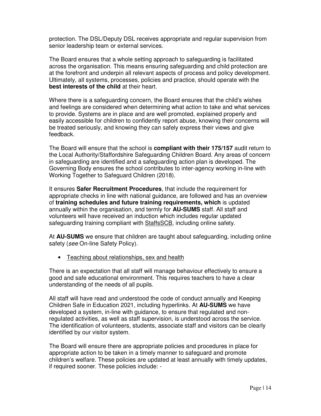protection. The DSL/Deputy DSL receives appropriate and regular supervision from senior leadership team or external services.

The Board ensures that a whole setting approach to safeguarding is facilitated across the organisation. This means ensuring safeguarding and child protection are at the forefront and underpin all relevant aspects of process and policy development. Ultimately, all systems, processes, policies and practice, should operate with the **best interests of the child** at their heart.

Where there is a safeguarding concern, the Board ensures that the child's wishes and feelings are considered when determining what action to take and what services to provide. Systems are in place and are well promoted, explained properly and easily accessible for children to confidently report abuse, knowing their concerns will be treated seriously, and knowing they can safely express their views and give feedback.

The Board will ensure that the school is **compliant with their 175/157** audit return to the Local Authority/Staffordshire Safeguarding Children Board. Any areas of concern in safeguarding are identified and a safeguarding action plan is developed. The Governing Body ensures the school contributes to inter-agency working in-line with Working Together to Safeguard Children (2018).

It ensures **Safer Recruitment Procedures**, that include the requirement for appropriate checks in line with national guidance, are followed and has an overview of **training schedules and future training requirements, which** is updated annually within the organisation, and termly for **AU-SUMS** staff. All staff and volunteers will have received an induction which includes regular updated safeguarding training compliant with StaffsSCB, including online safety.

At **AU-SUMS** we ensure that children are taught about safeguarding, including online safety (*see* On-line Safety Policy).

• Teaching about relationships, sex and health

There is an expectation that all staff will manage behaviour effectively to ensure a good and safe educational environment. This requires teachers to have a clear understanding of the needs of all pupils.

All staff will have read and understood the code of conduct annually and Keeping Children Safe in Education 2021, including hyperlinks. At **AU-SUMS** we have developed a system, in-line with guidance, to ensure that regulated and nonregulated activities, as well as staff supervision, is understood across the service. The identification of volunteers, students, associate staff and visitors can be clearly identified by our visitor system.

The Board will ensure there are appropriate policies and procedures in place for appropriate action to be taken in a timely manner to safeguard and promote children's welfare. These policies are updated at least annually with timely updates, if required sooner. These policies include: -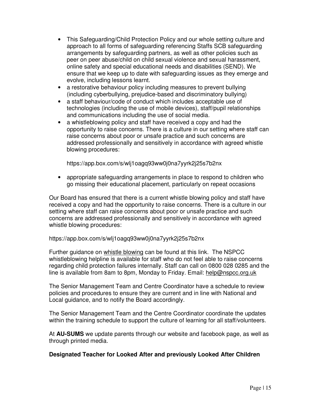- This Safeguarding/Child Protection Policy and our whole setting culture and approach to all forms of safeguarding referencing Staffs SCB safeguarding arrangements by safeguarding partners, as well as other policies such as peer on peer abuse/child on child sexual violence and sexual harassment, online safety and special educational needs and disabilities (SEND). We ensure that we keep up to date with safeguarding issues as they emerge and evolve, including lessons learnt.
- a restorative behaviour policy including measures to prevent bullying (including cyberbullying, prejudice-based and discriminatory bullying)
- a staff behaviour/code of conduct which includes acceptable use of technologies (including the use of mobile devices), staff/pupil relationships and communications including the use of social media.
- a whistleblowing policy and staff have received a copy and had the opportunity to raise concerns. There is a culture in our setting where staff can raise concerns about poor or unsafe practice and such concerns are addressed professionally and sensitively in accordance with agreed whistle blowing procedures:

https://app.box.com/s/wlj1oagq93ww0j0na7yyrk2j25s7b2nx

• appropriate safeguarding arrangements in place to respond to children who go missing their educational placement, particularly on repeat occasions

Our Board has ensured that there is a current whistle blowing policy and staff have received a copy and had the opportunity to raise concerns. There is a culture in our setting where staff can raise concerns about poor or unsafe practice and such concerns are addressed professionally and sensitively in accordance with agreed whistle blowing procedures:

# https://app.box.com/s/wlj1oagq93ww0j0na7yyrk2j25s7b2nx

Further guidance on whistle blowing can be found at this link. The NSPCC whistleblowing helpline is available for staff who do not feel able to raise concerns regarding child protection failures internally. Staff can call on 0800 028 0285 and the line is available from 8am to 8pm, Monday to Friday. Email: help@nspcc.org.uk

The Senior Management Team and Centre Coordinator have a schedule to review policies and procedures to ensure they are current and in line with National and Local guidance, and to notify the Board accordingly.

The Senior Management Team and the Centre Coordinator coordinate the updates within the training schedule to support the culture of learning for all staff/volunteers.

At **AU-SUMS** we update parents through our website and facebook page, as well as through printed media.

# **Designated Teacher for Looked After and previously Looked After Children**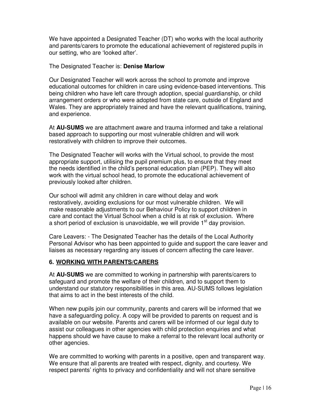We have appointed a Designated Teacher (DT) who works with the local authority and parents/carers to promote the educational achievement of registered pupils in our setting, who are 'looked after'.

#### The Designated Teacher is: **Denise Marlow**

Our Designated Teacher will work across the school to promote and improve educational outcomes for children in care using evidence-based interventions. This being children who have left care through adoption, special guardianship, or child arrangement orders or who were adopted from state care, outside of England and Wales. They are appropriately trained and have the relevant qualifications, training, and experience.

At **AU-SUMS** we are attachment aware and trauma informed and take a relational based approach to supporting our most vulnerable children and will work restoratively with children to improve their outcomes.

The Designated Teacher will works with the Virtual school, to provide the most appropriate support, utilising the pupil premium plus, to ensure that they meet the needs identified in the child's personal education plan (PEP). They will also work with the virtual school head, to promote the educational achievement of previously looked after children.

Our school will admit any children in care without delay and work restoratively, avoiding exclusions for our most vulnerable children. We will make reasonable adjustments to our Behaviour Policy to support children in care and contact the Virtual School when a child is at risk of exclusion. Where a short period of exclusion is unavoidable, we will provide  $1<sup>st</sup>$  day provision.

Care Leavers: - The Designated Teacher has the details of the Local Authority Personal Advisor who has been appointed to guide and support the care leaver and liaises as necessary regarding any issues of concern affecting the care leaver.

# **6. WORKING WITH PARENTS/CARERS**

At **AU-SUMS** we are committed to working in partnership with parents/carers to safeguard and promote the welfare of their children, and to support them to understand our statutory responsibilities in this area. AU-SUMS follows legislation that aims to act in the best interests of the child.

When new pupils join our community, parents and carers will be informed that we have a safeguarding policy. A copy will be provided to parents on request and is available on our website. Parents and carers will be informed of our legal duty to assist our colleagues in other agencies with child protection enquiries and what happens should we have cause to make a referral to the relevant local authority or other agencies.

We are committed to working with parents in a positive, open and transparent way. We ensure that all parents are treated with respect, dignity, and courtesy. We respect parents' rights to privacy and confidentiality and will not share sensitive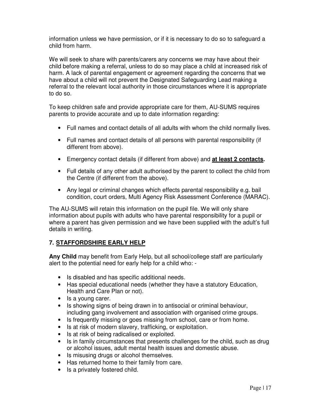information unless we have permission, or if it is necessary to do so to safeguard a child from harm.

We will seek to share with parents/carers any concerns we may have about their child before making a referral, unless to do so may place a child at increased risk of harm. A lack of parental engagement or agreement regarding the concerns that we have about a child will not prevent the Designated Safeguarding Lead making a referral to the relevant local authority in those circumstances where it is appropriate to do so.

To keep children safe and provide appropriate care for them, AU-SUMS requires parents to provide accurate and up to date information regarding:

- Full names and contact details of all adults with whom the child normally lives.
- Full names and contact details of all persons with parental responsibility (if different from above).
- Emergency contact details (if different from above) and **at least 2 contacts.**
- Full details of any other adult authorised by the parent to collect the child from the Centre (if different from the above).
- Any legal or criminal changes which effects parental responsibility e.g. bail condition, court orders, Multi Agency Risk Assessment Conference (MARAC).

The AU-SUMS will retain this information on the pupil file. We will only share information about pupils with adults who have parental responsibility for a pupil or where a parent has given permission and we have been supplied with the adult's full details in writing.

# **7. STAFFORDSHIRE EARLY HELP**

**Any Child** may benefit from Early Help, but all school/college staff are particularly alert to the potential need for early help for a child who: -

- Is disabled and has specific additional needs.
- Has special educational needs (whether they have a statutory Education, Health and Care Plan or not).
- Is a young carer.
- Is showing signs of being drawn in to antisocial or criminal behaviour, including gang involvement and association with organised crime groups.
- Is frequently missing or goes missing from school, care or from home.
- Is at risk of modern slavery, trafficking, or exploitation.
- Is at risk of being radicalised or exploited.
- Is in family circumstances that presents challenges for the child, such as drug or alcohol issues, adult mental health issues and domestic abuse.
- Is misusing drugs or alcohol themselves.
- Has returned home to their family from care.
- Is a privately fostered child.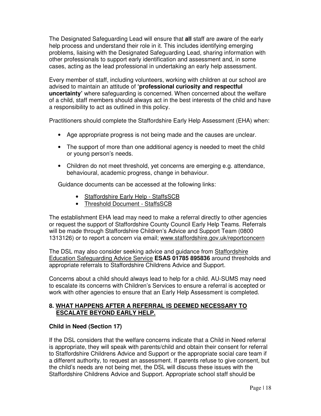The Designated Safeguarding Lead will ensure that **all** staff are aware of the early help process and understand their role in it. This includes identifying emerging problems, liaising with the Designated Safeguarding Lead, sharing information with other professionals to support early identification and assessment and, in some cases, acting as the lead professional in undertaking an early help assessment.

Every member of staff, including volunteers, working with children at our school are advised to maintain an attitude of **'professional curiosity and respectful uncertainty'** where safeguarding is concerned. When concerned about the welfare of a child, staff members should always act in the best interests of the child and have a responsibility to act as outlined in this policy.

Practitioners should complete the Staffordshire Early Help Assessment (EHA) when:

- Age appropriate progress is not being made and the causes are unclear.
- The support of more than one additional agency is needed to meet the child or young person's needs.
- Children do not meet threshold, yet concerns are emerging e.g. attendance, behavioural, academic progress, change in behaviour.

Guidance documents can be accessed at the following links:

- Staffordshire Early Help StaffsSCB
- Threshold Document StaffsSCB

The establishment EHA lead may need to make a referral directly to other agencies or request the support of Staffordshire County Council Early Help Teams. Referrals will be made through Staffordshire Children's Advice and Support Team (0800 1313126) or to report a concern via email; www.staffordshire.gov.uk/reportconcern

The DSL may also consider seeking advice and guidance from Staffordshire Education Safeguarding Advice Service **ESAS 01785 895836** around thresholds and appropriate referrals to Staffordshire Childrens Advice and Support.

Concerns about a child should always lead to help for a child. AU-SUMS may need to escalate its concerns with Children's Services to ensure a referral is accepted or work with other agencies to ensure that an Early Help Assessment is completed.

#### **8. WHAT HAPPENS AFTER A REFERRAL IS DEEMED NECESSARY TO ESCALATE BEYOND EARLY HELP.**

# **Child in Need (Section 17)**

If the DSL considers that the welfare concerns indicate that a Child in Need referral is appropriate, they will speak with parents/child and obtain their consent for referral to Staffordshire Childrens Advice and Support or the appropriate social care team if a different authority, to request an assessment. If parents refuse to give consent, but the child's needs are not being met, the DSL will discuss these issues with the Staffordshire Childrens Advice and Support. Appropriate school staff should be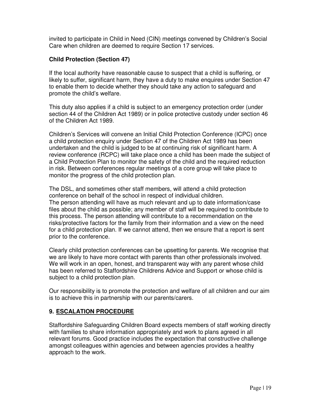invited to participate in Child in Need (CIN) meetings convened by Children's Social Care when children are deemed to require Section 17 services.

# **Child Protection (Section 47)**

If the local authority have reasonable cause to suspect that a child is suffering, or likely to suffer, significant harm, they have a duty to make enquires under Section 47 to enable them to decide whether they should take any action to safeguard and promote the child's welfare.

This duty also applies if a child is subject to an emergency protection order (under section 44 of the Children Act 1989) or in police protective custody under section 46 of the Children Act 1989.

Children's Services will convene an Initial Child Protection Conference (ICPC) once a child protection enquiry under Section 47 of the Children Act 1989 has been undertaken and the child is judged to be at continuing risk of significant harm. A review conference (RCPC) will take place once a child has been made the subject of a Child Protection Plan to monitor the safety of the child and the required reduction in risk. Between conferences regular meetings of a core group will take place to monitor the progress of the child protection plan.

The DSL, and sometimes other staff members, will attend a child protection conference on behalf of the school in respect of individual children. The person attending will have as much relevant and up to date information/case files about the child as possible; any member of staff will be required to contribute to this process. The person attending will contribute to a recommendation on the risks/protective factors for the family from their information and a view on the need for a child protection plan. If we cannot attend, then we ensure that a report is sent prior to the conference.

Clearly child protection conferences can be upsetting for parents. We recognise that we are likely to have more contact with parents than other professionals involved. We will work in an open, honest, and transparent way with any parent whose child has been referred to Staffordshire Childrens Advice and Support or whose child is subject to a child protection plan.

Our responsibility is to promote the protection and welfare of all children and our aim is to achieve this in partnership with our parents/carers.

# **9. ESCALATION PROCEDURE**

Staffordshire Safeguarding Children Board expects members of staff working directly with families to share information appropriately and work to plans agreed in all relevant forums. Good practice includes the expectation that constructive challenge amongst colleagues within agencies and between agencies provides a healthy approach to the work.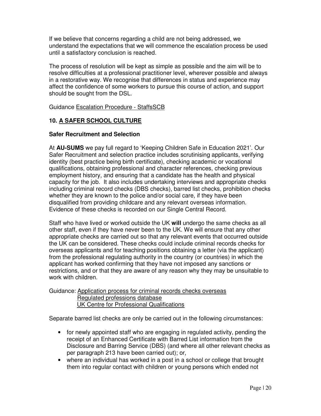If we believe that concerns regarding a child are not being addressed, we understand the expectations that we will commence the escalation process be used until a satisfactory conclusion is reached.

The process of resolution will be kept as simple as possible and the aim will be to resolve difficulties at a professional practitioner level, wherever possible and always in a restorative way. We recognise that differences in status and experience may affect the confidence of some workers to pursue this course of action, and support should be sought from the DSL.

Guidance Escalation Procedure - StaffsSCB

# **10. A SAFER SCHOOL CULTURE**

#### **Safer Recruitment and Selection**

At **AU-SUMS** we pay full regard to 'Keeping Children Safe in Education 2021'. Our Safer Recruitment and selection practice includes scrutinising applicants, verifying identity (best practice being birth certificate), checking academic or vocational qualifications, obtaining professional and character references, checking previous employment history, and ensuring that a candidate has the health and physical capacity for the job. It also includes undertaking interviews and appropriate checks including criminal record checks (DBS checks), barred list checks, prohibition checks whether they are known to the police and/or social care, if they have been disqualified from providing childcare and any relevant overseas information. Evidence of these checks is recorded on our Single Central Record.

Staff who have lived or worked outside the UK **will** undergo the same checks as all other staff, even if they have never been to the UK. We will ensure that any other appropriate checks are carried out so that any relevant events that occurred outside the UK can be considered. These checks could include criminal records checks for overseas applicants and for teaching positions obtaining a letter (via the applicant) from the professional regulating authority in the country (or countries) in which the applicant has worked confirming that they have not imposed any sanctions or restrictions, and or that they are aware of any reason why they may be unsuitable to work with children.

Guidance: Application process for criminal records checks overseas Regulated professions database UK Centre for Professional Qualifications

Separate barred list checks are only be carried out in the following circumstances:

- for newly appointed staff who are engaging in regulated activity, pending the receipt of an Enhanced Certificate with Barred List information from the Disclosure and Barring Service (DBS) (and where all other relevant checks as per paragraph 213 have been carried out); or,
- where an individual has worked in a post in a school or college that brought them into regular contact with children or young persons which ended not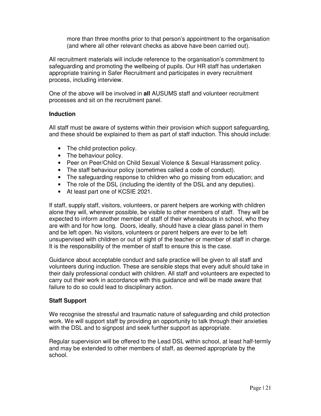more than three months prior to that person's appointment to the organisation (and where all other relevant checks as above have been carried out).

All recruitment materials will include reference to the organisation's commitment to safeguarding and promoting the wellbeing of pupils. Our HR staff has undertaken appropriate training in Safer Recruitment and participates in every recruitment process, including interview.

One of the above will be involved in **all** AUSUMS staff and volunteer recruitment processes and sit on the recruitment panel.

#### **Induction**

All staff must be aware of systems within their provision which support safeguarding, and these should be explained to them as part of staff induction. This should include:

- The child protection policy.
- The behaviour policy.
- Peer on Peer/Child on Child Sexual Violence & Sexual Harassment policy.
- The staff behaviour policy (sometimes called a code of conduct).
- The safeguarding response to children who go missing from education; and
- The role of the DSL (including the identity of the DSL and any deputies).
- At least part one of KCSIE 2021.

If staff, supply staff, visitors, volunteers, or parent helpers are working with children alone they will, wherever possible, be visible to other members of staff. They will be expected to inform another member of staff of their whereabouts in school, who they are with and for how long. Doors, ideally, should have a clear glass panel in them and be left open. No visitors, volunteers or parent helpers are ever to be left unsupervised with children or out of sight of the teacher or member of staff in charge. It is the responsibility of the member of staff to ensure this is the case.

Guidance about acceptable conduct and safe practice will be given to all staff and volunteers during induction. These are sensible steps that every adult should take in their daily professional conduct with children. All staff and volunteers are expected to carry out their work in accordance with this guidance and will be made aware that failure to do so could lead to disciplinary action.

# **Staff Support**

 We recognise the stressful and traumatic nature of safeguarding and child protection work. We will support staff by providing an opportunity to talk through their anxieties with the DSL and to signpost and seek further support as appropriate.

 Regular supervision will be offered to the Lead DSL within school, at least half-termly and may be extended to other members of staff, as deemed appropriate by the school.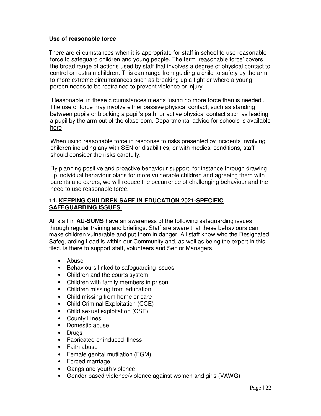#### **Use of reasonable force**

 There are circumstances when it is appropriate for staff in school to use reasonable force to safeguard children and young people. The term 'reasonable force' covers the broad range of actions used by staff that involves a degree of physical contact to control or restrain children. This can range from guiding a child to safety by the arm, to more extreme circumstances such as breaking up a fight or where a young person needs to be restrained to prevent violence or injury.

 'Reasonable' in these circumstances means 'using no more force than is needed'. The use of force may involve either passive physical contact, such as standing between pupils or blocking a pupil's path, or active physical contact such as leading a pupil by the arm out of the classroom. Departmental advice for schools is available here

When using reasonable force in response to risks presented by incidents involving children including any with SEN or disabilities, or with medical conditions, staff should consider the risks carefully.

By planning positive and proactive behaviour support, for instance through drawing up individual behaviour plans for more vulnerable children and agreeing them with parents and carers, we will reduce the occurrence of challenging behaviour and the need to use reasonable force.

#### **11. KEEPING CHILDREN SAFE IN EDUCATION 2021-SPECIFIC SAFEGUARDING ISSUES.**

All staff in **AU-SUMS** have an awareness of the following safeguarding issues through regular training and briefings. Staff are aware that these behaviours can make children vulnerable and put them in danger: All staff know who the Designated Safeguarding Lead is within our Community and, as well as being the expert in this filed, is there to support staff, volunteers and Senior Managers.

- Abuse
- Behaviours linked to safeguarding issues
- Children and the courts system
- Children with family members in prison
- Children missing from education
- Child missing from home or care
- Child Criminal Exploitation (CCE)
- Child sexual exploitation (CSE)
- County Lines
- Domestic abuse
- Drugs
- Fabricated or induced illness
- Faith abuse
- Female genital mutilation (FGM)
- Forced marriage
- Gangs and youth violence
- Gender-based violence/violence against women and girls (VAWG)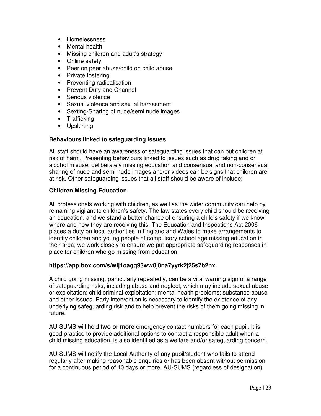- Homelessness
- Mental health
- Missing children and adult's strategy
- Online safety
- Peer on peer abuse/child on child abuse
- Private fostering
- Preventing radicalisation
- Prevent Duty and Channel
- Serious violence
- Sexual violence and sexual harassment
- Sexting-Sharing of nude/semi nude images
- Trafficking
- Upskirting

#### **Behaviours linked to safeguarding issues**

All staff should have an awareness of safeguarding issues that can put children at risk of harm. Presenting behaviours linked to issues such as drug taking and or alcohol misuse, deliberately missing education and consensual and non-consensual sharing of nude and semi-nude images and/or videos can be signs that children are at risk. Other safeguarding issues that all staff should be aware of include:

#### **Children Missing Education**

All professionals working with children, as well as the wider community can help by remaining vigilant to children's safety. The law states every child should be receiving an education, and we stand a better chance of ensuring a child's safety if we know where and how they are receiving this. The Education and Inspections Act 2006 places a duty on local authorities in England and Wales to make arrangements to identify children and young people of compulsory school age missing education in their area; we work closely to ensure we put appropriate safeguarding responses in place for children who go missing from education.

#### **https://app.box.com/s/wlj1oagq93ww0j0na7yyrk2j25s7b2nx**

A child going missing, particularly repeatedly, can be a vital warning sign of a range of safeguarding risks, including abuse and neglect, which may include sexual abuse or exploitation; child criminal exploitation; mental health problems; substance abuse and other issues. Early intervention is necessary to identify the existence of any underlying safeguarding risk and to help prevent the risks of them going missing in future.

AU-SUMS will hold **two or more** emergency contact numbers for each pupil. It is good practice to provide additional options to contact a responsible adult when a child missing education, is also identified as a welfare and/or safeguarding concern.

AU-SUMS will notify the Local Authority of any pupil/student who fails to attend regularly after making reasonable enquiries or has been absent without permission for a continuous period of 10 days or more. AU-SUMS (regardless of designation)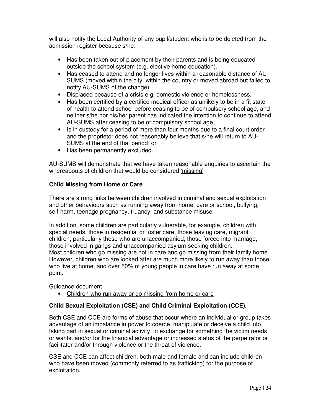will also notify the Local Authority of any pupil/student who is to be deleted from the admission register because s/he:

- Has been taken out of placement by their parents and is being educated outside the school system (e.g. elective home education).
- Has ceased to attend and no longer lives within a reasonable distance of AU-SUMS (moved within the city, within the country or moved abroad but failed to notify AU-SUMS of the change).
- Displaced because of a crisis e.g. domestic violence or homelessness.
- Has been certified by a certified medical officer as unlikely to be in a fit state of health to attend school before ceasing to be of compulsory school age, and neither s/he nor his/her parent has indicated the intention to continue to attend AU-SUMS after ceasing to be of compulsory school age;
- Is in custody for a period of more than four months due to a final court order and the proprietor does not reasonably believe that s/he will return to AU-SUMS at the end of that period; or
- Has been permanently excluded.

AU-SUMS will demonstrate that we have taken reasonable enquiries to ascertain the whereabouts of children that would be considered 'missing'

# **Child Missing from Home or Care**

There are strong links between children involved in criminal and sexual exploitation and other behaviours such as running away from home, care or school, bullying, self-harm, teenage pregnancy, truancy, and substance misuse.

In addition, some children are particularly vulnerable, for example, children with special needs, those in residential or foster care, those leaving care, migrant children, particularly those who are unaccompanied, those forced into marriage, those involved in gangs and unaccompanied asylum-seeking children. Most children who go missing are not in care and go missing from their family home. However, children who are looked after are much more likely to run away than those who live at home, and over 50% of young people in care have run away at some point.

Guidance document

• Children who run away or go missing from home or care

# **Child Sexual Exploitation (CSE) and Child Criminal Exploitation (CCE).**

Both CSE and CCE are forms of abuse that occur where an individual or group takes advantage of an imbalance in power to coerce, manipulate or deceive a child into taking part in sexual or criminal activity, in exchange for something the victim needs or wants, and/or for the financial advantage or increased status of the perpetrator or facilitator and/or through violence or the threat of violence.

CSE and CCE can affect children, both male and female and can include children who have been moved (commonly referred to as trafficking) for the purpose of exploitation.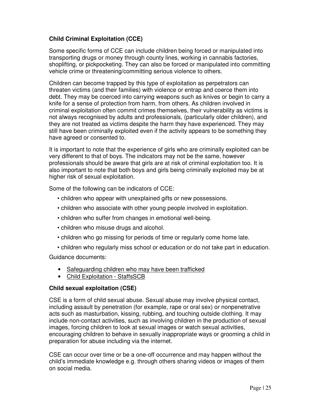# **Child Criminal Exploitation (CCE)**

Some specific forms of CCE can include children being forced or manipulated into transporting drugs or money through county lines, working in cannabis factories, shoplifting, or pickpocketing. They can also be forced or manipulated into committing vehicle crime or threatening/committing serious violence to others.

Children can become trapped by this type of exploitation as perpetrators can threaten victims (and their families) with violence or entrap and coerce them into debt. They may be coerced into carrying weapons such as knives or begin to carry a knife for a sense of protection from harm, from others. As children involved in criminal exploitation often commit crimes themselves, their vulnerability as victims is not always recognised by adults and professionals, (particularly older children), and they are not treated as victims despite the harm they have experienced. They may still have been criminally exploited even if the activity appears to be something they have agreed or consented to.

It is important to note that the experience of girls who are criminally exploited can be very different to that of boys. The indicators may not be the same, however professionals should be aware that girls are at risk of criminal exploitation too. It is also important to note that both boys and girls being criminally exploited may be at higher risk of sexual exploitation.

Some of the following can be indicators of CCE:

- children who appear with unexplained gifts or new possessions.
- children who associate with other young people involved in exploitation.
- children who suffer from changes in emotional well-being.
- children who misuse drugs and alcohol.
- children who go missing for periods of time or regularly come home late.
- children who regularly miss school or education or do not take part in education.

Guidance documents:

- Safeguarding children who may have been trafficked
- Child Exploitation StaffsSCB

#### **Child sexual exploitation (CSE)**

CSE is a form of child sexual abuse. Sexual abuse may involve physical contact, including assault by penetration (for example, rape or oral sex) or nonpenetrative acts such as masturbation, kissing, rubbing, and touching outside clothing. It may include non-contact activities, such as involving children in the production of sexual images, forcing children to look at sexual images or watch sexual activities, encouraging children to behave in sexually inappropriate ways or grooming a child in preparation for abuse including via the internet.

CSE can occur over time or be a one-off occurrence and may happen without the child's immediate knowledge e.g. through others sharing videos or images of them on social media.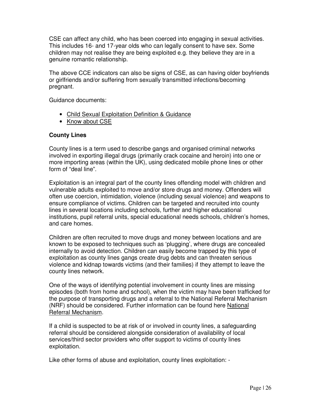CSE can affect any child, who has been coerced into engaging in sexual activities. This includes 16- and 17-year olds who can legally consent to have sex. Some children may not realise they are being exploited e.g. they believe they are in a genuine romantic relationship.

The above CCE indicators can also be signs of CSE, as can having older boyfriends or girlfriends and/or suffering from sexually transmitted infections/becoming pregnant.

Guidance documents:

- Child Sexual Exploitation Definition & Guidance
- Know about CSE

#### **County Lines**

County lines is a term used to describe gangs and organised criminal networks involved in exporting illegal drugs (primarily crack cocaine and heroin) into one or more importing areas (within the UK), using dedicated mobile phone lines or other form of "deal line".

Exploitation is an integral part of the county lines offending model with children and vulnerable adults exploited to move and/or store drugs and money. Offenders will often use coercion, intimidation, violence (including sexual violence) and weapons to ensure compliance of victims. Children can be targeted and recruited into county lines in several locations including schools, further and higher educational institutions, pupil referral units, special educational needs schools, children's homes, and care homes.

Children are often recruited to move drugs and money between locations and are known to be exposed to techniques such as 'plugging', where drugs are concealed internally to avoid detection. Children can easily become trapped by this type of exploitation as county lines gangs create drug debts and can threaten serious violence and kidnap towards victims (and their families) if they attempt to leave the county lines network.

One of the ways of identifying potential involvement in county lines are missing episodes (both from home and school), when the victim may have been trafficked for the purpose of transporting drugs and a referral to the National Referral Mechanism (NRF) should be considered. Further information can be found here National Referral Mechanism.

If a child is suspected to be at risk of or involved in county lines, a safeguarding referral should be considered alongside consideration of availability of local services/third sector providers who offer support to victims of county lines exploitation.

Like other forms of abuse and exploitation, county lines exploitation: -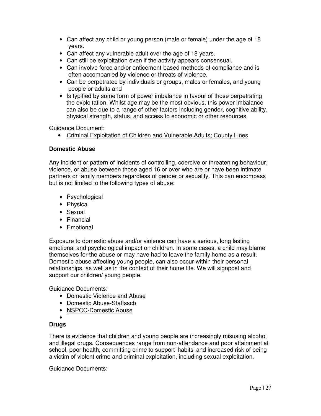- Can affect any child or young person (male or female) under the age of 18 years.
- Can affect any vulnerable adult over the age of 18 years.
- Can still be exploitation even if the activity appears consensual.
- Can involve force and/or enticement-based methods of compliance and is often accompanied by violence or threats of violence.
- Can be perpetrated by individuals or groups, males or females, and young people or adults and
- Is typified by some form of power imbalance in favour of those perpetrating the exploitation. Whilst age may be the most obvious, this power imbalance can also be due to a range of other factors including gender, cognitive ability, physical strength, status, and access to economic or other resources.

Guidance Document:

• Criminal Exploitation of Children and Vulnerable Adults; County Lines

# **Domestic Abuse**

Any incident or pattern of incidents of controlling, coercive or threatening behaviour, violence, or abuse between those aged 16 or over who are or have been intimate partners or family members regardless of gender or sexuality. This can encompass but is not limited to the following types of abuse:

- Psychological
- Physical
- Sexual
- Financial
- Emotional

Exposure to domestic abuse and/or violence can have a serious, long lasting emotional and psychological impact on children. In some cases, a child may blame themselves for the abuse or may have had to leave the family home as a result. Domestic abuse affecting young people, can also occur within their personal relationships, as well as in the context of their home life. We will signpost and support our children/ young people.

Guidance Documents:

- Domestic Violence and Abuse
- Domestic Abuse-Staffsscb
- NSPCC-Domestic Abuse
- •

# **Drugs**

There is evidence that children and young people are increasingly misusing alcohol and illegal drugs. Consequences range from non-attendance and poor attainment at school, poor health, committing crime to support 'habits' and increased risk of being a victim of violent crime and criminal exploitation, including sexual exploitation.

Guidance Documents: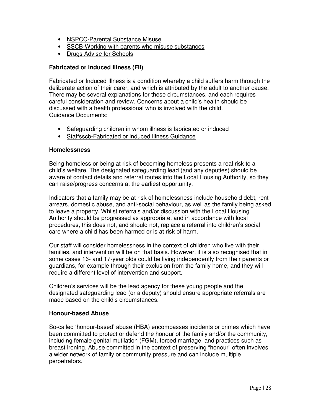- NSPCC-Parental Substance Misuse
- SSCB-Working with parents who misuse substances
- Drugs Advise for Schools

# **Fabricated or Induced Illness (FII)**

Fabricated or Induced Illness is a condition whereby a child suffers harm through the deliberate action of their carer, and which is attributed by the adult to another cause. There may be several explanations for these circumstances, and each requires careful consideration and review. Concerns about a child's health should be discussed with a health professional who is involved with the child. Guidance Documents:

- Safeguarding children in whom illness is fabricated or induced
- Staffsscb-Fabricated or induced Illness Guidance

#### **Homelessness**

Being homeless or being at risk of becoming homeless presents a real risk to a child's welfare. The designated safeguarding lead (and any deputies) should be aware of contact details and referral routes into the Local Housing Authority, so they can raise/progress concerns at the earliest opportunity.

Indicators that a family may be at risk of homelessness include household debt, rent arrears, domestic abuse, and anti-social behaviour, as well as the family being asked to leave a property. Whilst referrals and/or discussion with the Local Housing Authority should be progressed as appropriate, and in accordance with local procedures, this does not, and should not, replace a referral into children's social care where a child has been harmed or is at risk of harm.

Our staff will consider homelessness in the context of children who live with their families, and intervention will be on that basis. However, it is also recognised that in some cases 16- and 17-year olds could be living independently from their parents or guardians, for example through their exclusion from the family home, and they will require a different level of intervention and support.

Children's services will be the lead agency for these young people and the designated safeguarding lead (or a deputy) should ensure appropriate referrals are made based on the child's circumstances.

#### **Honour-based Abuse**

So-called 'honour-based' abuse (HBA) encompasses incidents or crimes which have been committed to protect or defend the honour of the family and/or the community, including female genital mutilation (FGM), forced marriage, and practices such as breast ironing. Abuse committed in the context of preserving "honour" often involves a wider network of family or community pressure and can include multiple perpetrators.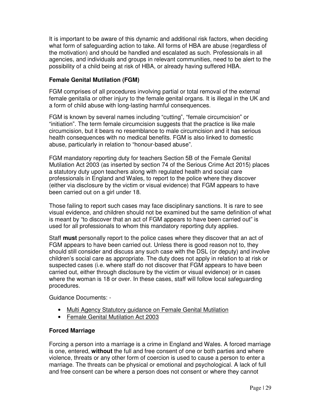It is important to be aware of this dynamic and additional risk factors, when deciding what form of safeguarding action to take. All forms of HBA are abuse (regardless of the motivation) and should be handled and escalated as such. Professionals in all agencies, and individuals and groups in relevant communities, need to be alert to the possibility of a child being at risk of HBA, or already having suffered HBA.

# **Female Genital Mutilation (FGM)**

FGM comprises of all procedures involving partial or total removal of the external female genitalia or other injury to the female genital organs. It is illegal in the UK and a form of child abuse with long-lasting harmful consequences.

FGM is known by several names including "cutting", "female circumcision" or "initiation". The term female circumcision suggests that the practice is like male circumcision, but it bears no resemblance to male circumcision and it has serious health consequences with no medical benefits. FGM is also linked to domestic abuse, particularly in relation to "honour-based abuse".

FGM mandatory reporting duty for teachers Section 5B of the Female Genital Mutilation Act 2003 (as inserted by section 74 of the Serious Crime Act 2015) places a statutory duty upon teachers along with regulated health and social care professionals in England and Wales, to report to the police where they discover (either via disclosure by the victim or visual evidence) that FGM appears to have been carried out on a girl under 18.

Those failing to report such cases may face disciplinary sanctions. It is rare to see visual evidence, and children should not be examined but the same definition of what is meant by "to discover that an act of FGM appears to have been carried out" is used for all professionals to whom this mandatory reporting duty applies.

Staff **must** personally report to the police cases where they discover that an act of FGM appears to have been carried out. Unless there is good reason not to, they should still consider and discuss any such case with the DSL (or deputy) and involve children's social care as appropriate. The duty does not apply in relation to at risk or suspected cases (i.e. where staff do not discover that FGM appears to have been carried out, either through disclosure by the victim or visual evidence) or in cases where the woman is 18 or over. In these cases, staff will follow local safeguarding procedures.

Guidance Documents: -

- Multi Agency Statutory guidance on Female Genital Mutilation
- Female Genital Mutilation Act 2003

#### **Forced Marriage**

Forcing a person into a marriage is a crime in England and Wales. A forced marriage is one, entered, **without** the full and free consent of one or both parties and where violence, threats or any other form of coercion is used to cause a person to enter a marriage. The threats can be physical or emotional and psychological. A lack of full and free consent can be where a person does not consent or where they cannot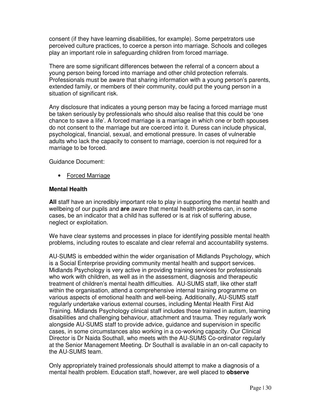consent (if they have learning disabilities, for example). Some perpetrators use perceived culture practices, to coerce a person into marriage. Schools and colleges play an important role in safeguarding children from forced marriage.

There are some significant differences between the referral of a concern about a young person being forced into marriage and other child protection referrals. Professionals must be aware that sharing information with a young person's parents, extended family, or members of their community, could put the young person in a situation of significant risk.

Any disclosure that indicates a young person may be facing a forced marriage must be taken seriously by professionals who should also realise that this could be 'one chance to save a life'. A forced marriage is a marriage in which one or both spouses do not consent to the marriage but are coerced into it. Duress can include physical, psychological, financial, sexual, and emotional pressure. In cases of vulnerable adults who lack the capacity to consent to marriage, coercion is not required for a marriage to be forced.

Guidance Document:

• Forced Marriage

#### **Mental Health**

**All** staff have an incredibly important role to play in supporting the mental health and wellbeing of our pupils and **are** aware that mental health problems can, in some cases, be an indicator that a child has suffered or is at risk of suffering abuse, neglect or exploitation.

We have clear systems and processes in place for identifying possible mental health problems, including routes to escalate and clear referral and accountability systems.

AU-SUMS is embedded within the wider organisation of Midlands Psychology, which is a Social Enterprise providing community mental health and support services. Midlands Psychology is very active in providing training services for professionals who work with children, as well as in the assessment, diagnosis and therapeutic treatment of children's mental health difficulties. AU-SUMS staff, like other staff within the organisation, attend a comprehensive internal training programme on various aspects of emotional health and well-being. Additionally, AU-SUMS staff regularly undertake various external courses, including Mental Health First Aid Training. Midlands Psychology clinical staff includes those trained in autism, learning disabilities and challenging behaviour, attachment and trauma. They regularly work alongside AU-SUMS staff to provide advice, guidance and supervision in specific cases, in some circumstances also working in a co-working capacity. Our Clinical Director is Dr Naida Southall, who meets with the AU-SUMS Co-ordinator regularly at the Senior Management Meeting. Dr Southall is available in an on-call capacity to the AU-SUMS team.

Only appropriately trained professionals should attempt to make a diagnosis of a mental health problem. Education staff, however, are well placed to **observe**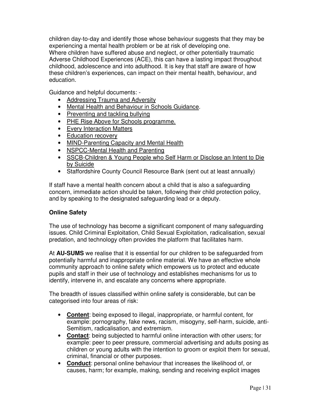children day-to-day and identify those whose behaviour suggests that they may be experiencing a mental health problem or be at risk of developing one. Where children have suffered abuse and neglect, or other potentially traumatic Adverse Childhood Experiences (ACE), this can have a lasting impact throughout childhood, adolescence and into adulthood. It is key that staff are aware of how these children's experiences, can impact on their mental health, behaviour, and education.

Guidance and helpful documents: -

- Addressing Trauma and Adversity
- Mental Health and Behaviour in Schools Guidance.
- Preventing and tackling bullying
- PHE Rise Above for Schools programme.
- Every Interaction Matters
- Education recovery
- MIND-Parenting Capacity and Mental Health
- NSPCC-Mental Health and Parenting
- SSCB-Children & Young People who Self Harm or Disclose an Intent to Die by Suicide
- Staffordshire County Council Resource Bank (sent out at least annually)

If staff have a mental health concern about a child that is also a safeguarding concern, immediate action should be taken, following their child protection policy, and by speaking to the designated safeguarding lead or a deputy.

# **Online Safety**

The use of technology has become a significant component of many safeguarding issues. Child Criminal Exploitation, Child Sexual Exploitation, radicalisation, sexual predation, and technology often provides the platform that facilitates harm.

At **AU-SUMS** we realise that it is essential for our children to be safeguarded from potentially harmful and inappropriate online material. We have an effective whole community approach to online safety which empowers us to protect and educate pupils and staff in their use of technology and establishes mechanisms for us to identify, intervene in, and escalate any concerns where appropriate.

The breadth of issues classified within online safety is considerable, but can be categorised into four areas of risk:

- **Content**: being exposed to illegal, inappropriate, or harmful content, for example: pornography, fake news, racism, misogyny, self-harm, suicide, anti-Semitism, radicalisation, and extremism.
- **Contact**: being subjected to harmful online interaction with other users; for example: peer to peer pressure, commercial advertising and adults posing as children or young adults with the intention to groom or exploit them for sexual, criminal, financial or other purposes.
- **Conduct**: personal online behaviour that increases the likelihood of, or causes, harm; for example, making, sending and receiving explicit images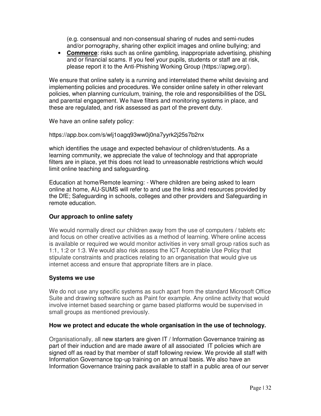(e.g. consensual and non-consensual sharing of nudes and semi-nudes and/or pornography, sharing other explicit images and online bullying; and

• **Commerce**: risks such as online gambling, inappropriate advertising, phishing and or financial scams. If you feel your pupils, students or staff are at risk, please report it to the Anti-Phishing Working Group (https://apwg.org/).

We ensure that online safety is a running and interrelated theme whilst devising and implementing policies and procedures. We consider online safety in other relevant policies, when planning curriculum, training, the role and responsibilities of the DSL and parental engagement. We have filters and monitoring systems in place, and these are regulated, and risk assessed as part of the prevent duty.

We have an online safety policy:

#### https://app.box.com/s/wlj1oagq93ww0j0na7yyrk2j25s7b2nx

which identifies the usage and expected behaviour of children/students. As a learning community, we appreciate the value of technology and that appropriate filters are in place, yet this does not lead to unreasonable restrictions which would limit online teaching and safeguarding.

Education at home/Remote learning: - Where children are being asked to learn online at home, AU-SUMS will refer to and use the links and resources provided by the DfE; Safeguarding in schools, colleges and other providers and Safeguarding in remote education.

# **Our approach to online safety**

We would normally direct our children away from the use of computers / tablets etc and focus on other creative activities as a method of learning. Where online access is available or required we would monitor activities in very small group ratios such as 1:1, 1:2 or 1:3. We would also risk assess the ICT Acceptable Use Policy that stipulate constraints and practices relating to an organisation that would give us internet access and ensure that appropriate filters are in place.

#### **Systems we use**

We do not use any specific systems as such apart from the standard Microsoft Office Suite and drawing software such as Paint for example. Any online activity that would involve internet based searching or game based platforms would be supervised in small groups as mentioned previously.

#### **How we protect and educate the whole organisation in the use of technology.**

Organisationally, all new starters are given IT / Information Governance training as part of their induction and are made aware of all associated IT policies which are signed off as read by that member of staff following review. We provide all staff with Information Governance top-up training on an annual basis. We also have an Information Governance training pack available to staff in a public area of our server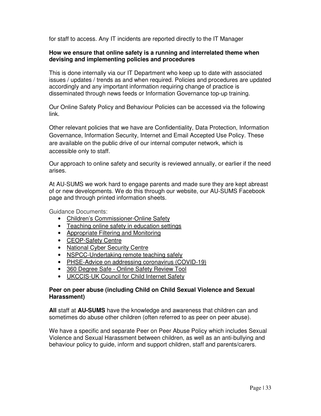for staff to access. Any IT incidents are reported directly to the IT Manager

#### **How we ensure that online safety is a running and interrelated theme when devising and implementing policies and procedures**

This is done internally via our IT Department who keep up to date with associated issues / updates / trends as and when required. Policies and procedures are updated accordingly and any important information requiring change of practice is disseminated through news feeds or Information Governance top-up training.

Our Online Safety Policy and Behaviour Policies can be accessed via the following link.

Other relevant policies that we have are Confidentiality, Data Protection, Information Governance, Information Security, Internet and Email Accepted Use Policy. These are available on the public drive of our internal computer network, which is accessible only to staff.

Our approach to online safety and security is reviewed annually, or earlier if the need arises.

At AU-SUMS we work hard to engage parents and made sure they are kept abreast of or new developments. We do this through our website, our AU-SUMS Facebook page and through printed information sheets.

Guidance Documents:

- Children's Commissioner-Online Safety
- Teaching online safety in education settings
- Appropriate Filtering and Monitoring
- CEOP-Safety Centre
- National Cyber Security Centre
- NSPCC-Undertaking remote teaching safely
- PHSE-Advice on addressing coronavirus (COVID-19)
- 360 Degree Safe Online Safety Review Tool
- UKCCIS-UK Council for Child Internet Safety

#### **Peer on peer abuse (including Child on Child Sexual Violence and Sexual Harassment)**

**All** staff at **AU-SUMS** have the knowledge and awareness that children can and sometimes do abuse other children (often referred to as peer on peer abuse).

We have a specific and separate Peer on Peer Abuse Policy which includes Sexual Violence and Sexual Harassment between children, as well as an anti-bullying and behaviour policy to guide, inform and support children, staff and parents/carers.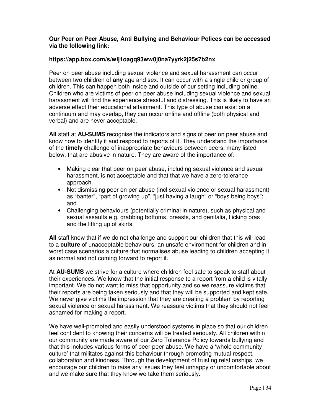#### **Our Peer on Peer Abuse, Anti Bullying and Behaviour Polices can be accessed via the following link:**

#### **https://app.box.com/s/wlj1oagq93ww0j0na7yyrk2j25s7b2nx**

Peer on peer abuse including sexual violence and sexual harassment can occur between two children of **any** age and sex. It can occur with a single child or group of children. This can happen both inside and outside of our setting including online. Children who are victims of peer on peer abuse including sexual violence and sexual harassment will find the experience stressful and distressing. This is likely to have an adverse effect their educational attainment. This type of abuse can exist on a continuum and may overlap, they can occur online and offline (both physical and verbal) and are never acceptable.

**All** staff at **AU-SUMS** recognise the indicators and signs of peer on peer abuse and know how to identify it and respond to reports of it. They understand the importance of the **timely** challenge of inappropriate behaviours between peers, many listed below, that are abusive in nature. They are aware of the importance of: -

- Making clear that peer on peer abuse, including sexual violence and sexual harassment, is not acceptable and that that we have a zero-tolerance approach.
- Not dismissing peer on per abuse (incl sexual violence or sexual harassment) as "banter", "part of growing up", "just having a laugh" or "boys being boys"; and
- Challenging behaviours (potentially criminal in nature), such as physical and sexual assaults e.g. grabbing bottoms, breasts, and genitalia, flicking bras and the lifting up of skirts.

**All** staff know that if we do not challenge and support our children that this will lead to a **culture** of unacceptable behaviours, an unsafe environment for children and in worst case scenarios a culture that normalises abuse leading to children accepting it as normal and not coming forward to report it.

At **AU-SUMS** we strive for a culture where children feel safe to speak to staff about their experiences. We know that the initial response to a report from a child is vitally important. We do not want to miss that opportunity and so we reassure victims that their reports are being taken seriously and that they will be supported and kept safe. We never give victims the impression that they are creating a problem by reporting sexual violence or sexual harassment. We reassure victims that they should not feel ashamed for making a report.

We have well-promoted and easily understood systems in place so that our children feel confident to knowing their concerns will be treated seriously. All children within our community are made aware of our Zero Tolerance Policy towards bullying and that this includes various forms of peer-peer abuse. We have a 'whole community culture' that militates against this behaviour through promoting mutual respect, collaboration and kindness. Through the development of trusting relationships, we encourage our children to raise any issues they feel unhappy or uncomfortable about and we make sure that they know we take them seriously.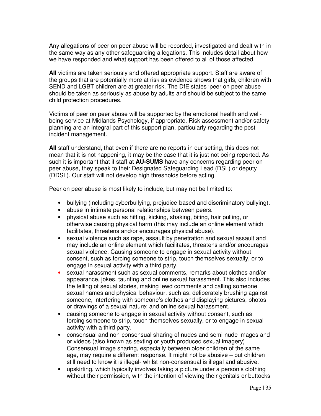Any allegations of peer on peer abuse will be recorded, investigated and dealt with in the same way as any other safeguarding allegations. This includes detail about how we have responded and what support has been offered to all of those affected.

**All** victims are taken seriously and offered appropriate support. Staff are aware of the groups that are potentially more at risk as evidence shows that girls, children with SEND and LGBT children are at greater risk. The DfE states 'peer on peer abuse should be taken as seriously as abuse by adults and should be subject to the same child protection procedures.

Victims of peer on peer abuse will be supported by the emotional health and wellbeing service at Midlands Psychology, if appropriate. Risk assessment and/or safety planning are an integral part of this support plan, particularly regarding the post incident management.

**All** staff understand, that even if there are no reports in our setting, this does not mean that it is not happening, it may be the case that it is just not being reported. As such it is important that if staff at **AU-SUMS** have any concerns regarding peer on peer abuse, they speak to their Designated Safeguarding Lead (DSL) or deputy (DDSL). Our staff will not develop high thresholds before acting.

Peer on peer abuse is most likely to include, but may not be limited to:

- bullying (including cyberbullying, prejudice-based and discriminatory bullying).
- abuse in intimate personal relationships between peers.
- physical abuse such as hitting, kicking, shaking, biting, hair pulling, or otherwise causing physical harm (this may include an online element which facilitates, threatens and/or encourages physical abuse).
- sexual violence such as rape, assault by penetration and sexual assault and may include an online element which facilitates, threatens and/or encourages sexual violence. Causing someone to engage in sexual activity without consent, such as forcing someone to strip, touch themselves sexually, or to engage in sexual activity with a third party.
- sexual harassment such as sexual comments, remarks about clothes and/or appearance, jokes, taunting and online sexual harassment. This also includes the telling of sexual stories, making lewd comments and calling someone sexual names and physical behaviour, such as: deliberately brushing against someone, interfering with someone's clothes and displaying pictures, photos or drawings of a sexual nature; and online sexual harassment.
- causing someone to engage in sexual activity without consent, such as forcing someone to strip, touch themselves sexually, or to engage in sexual activity with a third party.
- consensual and non-consensual sharing of nudes and semi-nude images and or videos (also known as sexting or youth produced sexual imagery) Consensual image sharing, especially between older children of the same age, may require a different response. It might not be abusive – but children still need to know it is illegal- whilst non-consensual is illegal and abusive.
- upskirting, which typically involves taking a picture under a person's clothing without their permission, with the intention of viewing their genitals or buttocks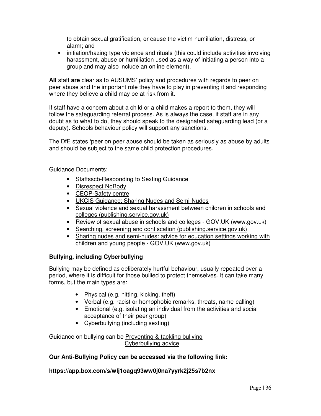to obtain sexual gratification, or cause the victim humiliation, distress, or alarm; and

• initiation/hazing type violence and rituals (this could include activities involving harassment, abuse or humiliation used as a way of initiating a person into a group and may also include an online element).

**All** staff **are** clear as to AUSUMS' policy and procedures with regards to peer on peer abuse and the important role they have to play in preventing it and responding where they believe a child may be at risk from it.

If staff have a concern about a child or a child makes a report to them, they will follow the safeguarding referral process. As is always the case, if staff are in any doubt as to what to do, they should speak to the designated safeguarding lead (or a deputy). Schools behaviour policy will support any sanctions.

The DfE states 'peer on peer abuse should be taken as seriously as abuse by adults and should be subject to the same child protection procedures.

Guidance Documents:

- Staffsscb-Responding to Sexting Guidance
- Disrespect NoBody
- CEOP-Safety centre
- UKCIS Guidance: Sharing Nudes and Semi-Nudes
- Sexual violence and sexual harassment between children in schools and colleges (publishing.service.gov.uk)
- Review of sexual abuse in schools and colleges GOV.UK (www.gov.uk)
- Searching, screening and confiscation (publishing.service.gov.uk)
- Sharing nudes and semi-nudes: advice for education settings working with children and young people - GOV.UK (www.gov.uk)

# **Bullying, including Cyberbullying**

Bullying may be defined as deliberately hurtful behaviour, usually repeated over a period, where it is difficult for those bullied to protect themselves. It can take many forms, but the main types are:

- Physical (e.g. hitting, kicking, theft)
- Verbal (e.g. racist or homophobic remarks, threats, name-calling)
- Emotional (e.g. isolating an individual from the activities and social acceptance of their peer group)
- Cyberbullying (including sexting)

Guidance on bullying can be Preventing & tackling bullying Cyberbullying advice

# **Our Anti-Bullying Policy can be accessed via the following link:**

# **https://app.box.com/s/wlj1oagq93ww0j0na7yyrk2j25s7b2nx**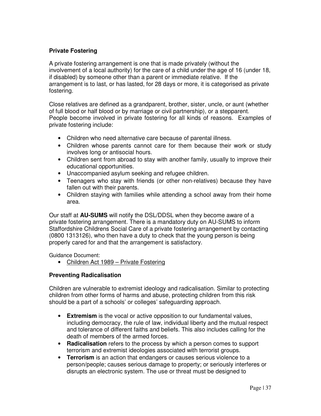# **Private Fostering**

A private fostering arrangement is one that is made privately (without the involvement of a local authority) for the care of a child under the age of 16 (under 18, if disabled) by someone other than a parent or immediate relative. If the arrangement is to last, or has lasted, for 28 days or more, it is categorised as private fostering.

Close relatives are defined as a grandparent, brother, sister, uncle, or aunt (whether of full blood or half blood or by marriage or civil partnership), or a stepparent. People become involved in private fostering for all kinds of reasons. Examples of private fostering include:

- Children who need alternative care because of parental illness.
- Children whose parents cannot care for them because their work or study involves long or antisocial hours.
- Children sent from abroad to stay with another family, usually to improve their educational opportunities.
- Unaccompanied asylum seeking and refugee children.
- Teenagers who stay with friends (or other non-relatives) because they have fallen out with their parents.
- Children staying with families while attending a school away from their home area.

Our staff at **AU-SUMS** will notify the DSL/DDSL when they become aware of a private fostering arrangement. There is a mandatory duty on AU-SUMS to inform Staffordshire Childrens Social Care of a private fostering arrangement by contacting (0800 1313126), who then have a duty to check that the young person is being properly cared for and that the arrangement is satisfactory.

Guidance Document:

• Children Act 1989 – Private Fostering

# **Preventing Radicalisation**

Children are vulnerable to extremist ideology and radicalisation. Similar to protecting children from other forms of harms and abuse, protecting children from this risk should be a part of a schools' or colleges' safeguarding approach.

- **Extremism** is the vocal or active opposition to our fundamental values, including democracy, the rule of law, individual liberty and the mutual respect and tolerance of different faiths and beliefs. This also includes calling for the death of members of the armed forces.
- **Radicalisation** refers to the process by which a person comes to support terrorism and extremist ideologies associated with terrorist groups.
- **Terrorism** is an action that endangers or causes serious violence to a person/people; causes serious damage to property; or seriously interferes or disrupts an electronic system. The use or threat must be designed to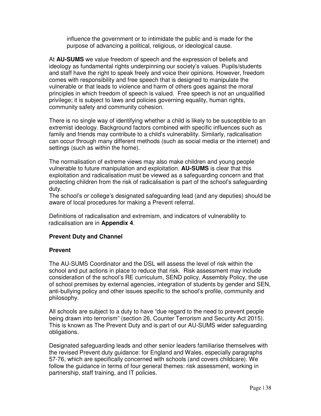influence the government or to intimidate the public and is made for the purpose of advancing a political, religious, or ideological cause.

 At **AU-SUMS** we value freedom of speech and the expression of beliefs and ideology as fundamental rights underpinning our society's values. Pupils/students and staff have the right to speak freely and voice their opinions. However, freedom comes with responsibility and free speech that is designed to manipulate the vulnerable or that leads to violence and harm of others goes against the moral principles in which freedom of speech is valued. Free speech is not an unqualified privilege; it is subject to laws and policies governing equality, human rights, community safety and community cohesion.

There is no single way of identifying whether a child is likely to be susceptible to an extremist ideology. Background factors combined with specific influences such as family and friends may contribute to a child's vulnerability. Similarly, radicalisation can occur through many different methods (such as social media or the internet) and settings (such as within the home).

The normalisation of extreme views may also make children and young people vulnerable to future manipulation and exploitation. **AU-SUMS** is clear that this exploitation and radicalisation must be viewed as a safeguarding concern and that protecting children from the risk of radicalisation is part of the school's safeguarding duty.

The school's or college's designated safeguarding lead (and any deputies) should be aware of local procedures for making a Prevent referral.

 Definitions of radicalisation and extremism, and indicators of vulnerability to radicalisation are in **Appendix 4**.

# **Prevent Duty and Channel**

#### **Prevent**

The AU-SUMS Coordinator and the DSL will assess the level of risk within the school and put actions in place to reduce that risk. Risk assessment may include consideration of the school's RE curriculum, SEND policy, Assembly Policy, the use of school premises by external agencies, integration of students by gender and SEN, anti-bullying policy and other issues specific to the school's profile, community and philosophy.

All schools are subject to a duty to have "due regard to the need to prevent people being drawn into terrorism" (section 26, Counter Terrorism and Security Act 2015). This is known as The Prevent Duty and is part of our AU-SUMS wider safeguarding obligations.

Designated safeguarding leads and other senior leaders familiarise themselves with the revised Prevent duty guidance: for England and Wales, especially paragraphs 57-76, which are specifically concerned with schools (and covers childcare). We follow the guidance in terms of four general themes: risk assessment, working in partnership, staff training, and IT policies.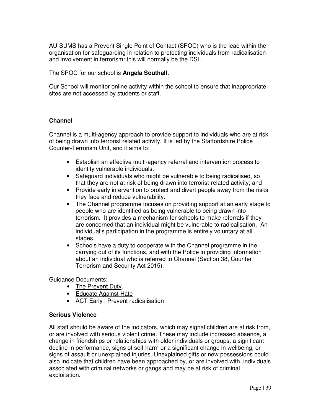AU-SUMS has a Prevent Single Point of Contact (SPOC) who is the lead within the organisation for safeguarding in relation to protecting individuals from radicalisation and involvement in terrorism: this will normally be the DSL.

The SPOC for our school is **Angela Southall.**

Our School will monitor online activity within the school to ensure that inappropriate sites are not accessed by students or staff.

#### **Channel**

Channel is a multi-agency approach to provide support to individuals who are at risk of being drawn into terrorist related activity. It is led by the Staffordshire Police Counter-Terrorism Unit, and it aims to:

- Establish an effective multi-agency referral and intervention process to identify vulnerable individuals.
- Safeguard individuals who might be vulnerable to being radicalised, so that they are not at risk of being drawn into terrorist-related activity; and
- Provide early intervention to protect and divert people away from the risks they face and reduce vulnerability.
- The Channel programme focuses on providing support at an early stage to people who are identified as being vulnerable to being drawn into terrorism. It provides a mechanism for schools to make referrals if they are concerned that an individual might be vulnerable to radicalisation. An individual's participation in the programme is entirely voluntary at all stages.
- Schools have a duty to cooperate with the Channel programme in the carrying out of its functions, and with the Police in providing information about an individual who is referred to Channel (Section 38, Counter Terrorism and Security Act 2015).

Guidance Documents:

- The Prevent Duty.
- Educate Against Hate
- ACT Early | Prevent radicalisation

#### **Serious Violence**

All staff should be aware of the indicators, which may signal children are at risk from, or are involved with serious violent crime. These may include increased absence, a change in friendships or relationships with older individuals or groups, a significant decline in performance, signs of self-harm or a significant change in wellbeing, or signs of assault or unexplained injuries. Unexplained gifts or new possessions could also indicate that children have been approached by, or are involved with, individuals associated with criminal networks or gangs and may be at risk of criminal exploitation.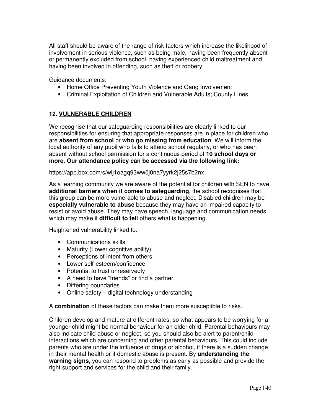All staff should be aware of the range of risk factors which increase the likelihood of involvement in serious violence, such as being male, having been frequently absent or permanently excluded from school, having experienced child maltreatment and having been involved in offending, such as theft or robbery.

Guidance documents:

- Home Office Preventing Youth Violence and Gang Involvement
- Criminal Exploitation of Children and Vulnerable Adults; County Lines

# **12. VULNERABLE CHILDREN**

We recognise that our safeguarding responsibilities are clearly linked to our responsibilities for ensuring that appropriate responses are in place for children who are **absent from school** or **who go missing from education**. We will inform the local authority of any pupil who fails to attend school regularly, or who has been absent without school permission for a continuous period of **10 school days or more. Our attendance policy can be accessed via the following link:** 

#### https://app.box.com/s/wlj1oagq93ww0j0na7yyrk2j25s7b2nx

As a learning community we are aware of the potential for children with SEN to have **additional barriers when it comes to safeguarding**, the school recognises that this group can be more vulnerable to abuse and neglect. Disabled children may be **especially vulnerable to abuse** because they may have an impaired capacity to resist or avoid abuse. They may have speech, language and communication needs which may make it **difficult to tell** others what is happening.

Heightened vulnerability linked to:

- Communications skills
- Maturity (Lower cognitive ability)
- Perceptions of intent from others
- Lower self-esteem/confidence
- Potential to trust unreservedly
- A need to have "friends" or find a partner
- Differing boundaries
- Online safety digital technology understanding

A **combination** of these factors can make them more susceptible to risks.

Children develop and mature at different rates, so what appears to be worrying for a younger child might be normal behaviour for an older child. Parental behaviours may also indicate child abuse or neglect, so you should also be alert to parent/child interactions which are concerning and other parental behaviours. This could include parents who are under the influence of drugs or alcohol, if there is a sudden change in their mental health or if domestic abuse is present. By **understanding the warning signs**, you can respond to problems as early as possible and provide the right support and services for the child and their family.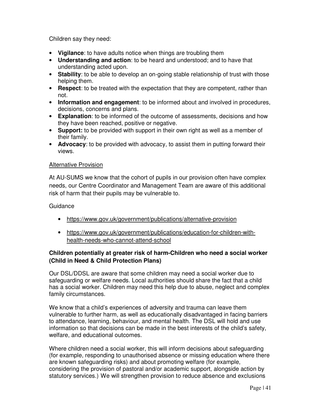Children say they need:

- **Vigilance**: to have adults notice when things are troubling them
- **Understanding and action**: to be heard and understood; and to have that understanding acted upon.
- **Stability**: to be able to develop an on-going stable relationship of trust with those helping them.
- **Respect**: to be treated with the expectation that they are competent, rather than not.
- **Information and engagement**: to be informed about and involved in procedures, decisions, concerns and plans.
- **Explanation**: to be informed of the outcome of assessments, decisions and how they have been reached, positive or negative.
- **Support:** to be provided with support in their own right as well as a member of their family.
- **Advocacy**: to be provided with advocacy, to assist them in putting forward their views.

#### Alternative Provision

At AU-SUMS we know that the cohort of pupils in our provision often have complex needs, our Centre Coordinator and Management Team are aware of this additional risk of harm that their pupils may be vulnerable to.

#### **Guidance**

- https://www.gov.uk/government/publications/alternative-provision
- https://www.gov.uk/government/publications/education-for-children-withhealth-needs-who-cannot-attend-school

# **Children potentially at greater risk of harm-Children who need a social worker (Child in Need & Child Protection Plans)**

Our DSL/DDSL are aware that some children may need a social worker due to safeguarding or welfare needs. Local authorities should share the fact that a child has a social worker. Children may need this help due to abuse, neglect and complex family circumstances.

We know that a child's experiences of adversity and trauma can leave them vulnerable to further harm, as well as educationally disadvantaged in facing barriers to attendance, learning, behaviour, and mental health. The DSL will hold and use information so that decisions can be made in the best interests of the child's safety, welfare, and educational outcomes.

Where children need a social worker, this will inform decisions about safeguarding (for example, responding to unauthorised absence or missing education where there are known safeguarding risks) and about promoting welfare (for example, considering the provision of pastoral and/or academic support, alongside action by statutory services.) We will strengthen provision to reduce absence and exclusions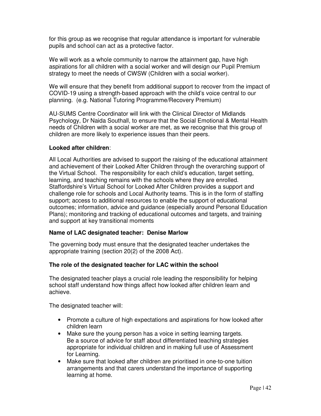for this group as we recognise that regular attendance is important for vulnerable pupils and school can act as a protective factor.

We will work as a whole community to narrow the attainment gap, have high aspirations for all children with a social worker and will design our Pupil Premium strategy to meet the needs of CWSW (Children with a social worker).

We will ensure that they benefit from additional support to recover from the impact of COVID-19 using a strength-based approach with the child's voice central to our planning. (e.g. National Tutoring Programme/Recovery Premium)

AU-SUMS Centre Coordinator will link with the Clinical Director of Midlands Psychology, Dr Naida Southall, to ensure that the Social Emotional & Mental Health needs of Children with a social worker are met, as we recognise that this group of children are more likely to experience issues than their peers.

#### **Looked after children**:

All Local Authorities are advised to support the raising of the educational attainment and achievement of their Looked After Children through the overarching support of the Virtual School. The responsibility for each child's education, target setting, learning, and teaching remains with the schools where they are enrolled. Staffordshire's Virtual School for Looked After Children provides a support and challenge role for schools and Local Authority teams. This is in the form of staffing support; access to additional resources to enable the support of educational outcomes; information, advice and guidance (especially around Personal Education Plans); monitoring and tracking of educational outcomes and targets, and training and support at key transitional moments

#### **Name of LAC designated teacher: Denise Marlow**

The governing body must ensure that the designated teacher undertakes the appropriate training (section 20(2) of the 2008 Act).

#### **The role of the designated teacher for LAC within the school**

The designated teacher plays a crucial role leading the responsibility for helping school staff understand how things affect how looked after children learn and achieve.

The designated teacher will:

- Promote a culture of high expectations and aspirations for how looked after children learn
- Make sure the young person has a voice in setting learning targets. Be a source of advice for staff about differentiated teaching strategies appropriate for individual children and in making full use of Assessment for Learning.
- Make sure that looked after children are prioritised in one-to-one tuition arrangements and that carers understand the importance of supporting learning at home.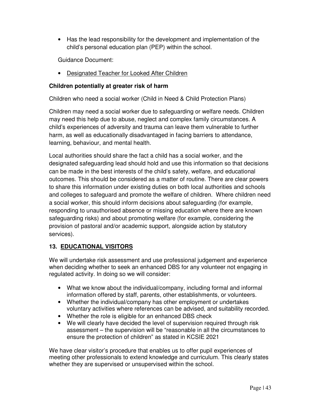• Has the lead responsibility for the development and implementation of the child's personal education plan (PEP) within the school.

Guidance Document:

• Designated Teacher for Looked After Children

# **Children potentially at greater risk of harm**

Children who need a social worker (Child in Need & Child Protection Plans)

Children may need a social worker due to safeguarding or welfare needs. Children may need this help due to abuse, neglect and complex family circumstances. A child's experiences of adversity and trauma can leave them vulnerable to further harm, as well as educationally disadvantaged in facing barriers to attendance, learning, behaviour, and mental health.

Local authorities should share the fact a child has a social worker, and the designated safeguarding lead should hold and use this information so that decisions can be made in the best interests of the child's safety, welfare, and educational outcomes. This should be considered as a matter of routine. There are clear powers to share this information under existing duties on both local authorities and schools and colleges to safeguard and promote the welfare of children. Where children need a social worker, this should inform decisions about safeguarding (for example, responding to unauthorised absence or missing education where there are known safeguarding risks) and about promoting welfare (for example, considering the provision of pastoral and/or academic support, alongside action by statutory services).

# **13. EDUCATIONAL VISITORS**

We will undertake risk assessment and use professional judgement and experience when deciding whether to seek an enhanced DBS for any volunteer not engaging in regulated activity. In doing so we will consider:

- What we know about the individual/company, including formal and informal information offered by staff, parents, other establishments, or volunteers.
- Whether the individual/company has other employment or undertakes voluntary activities where references can be advised, and suitability recorded.
- Whether the role is eligible for an enhanced DBS check
- We will clearly have decided the level of supervision required through risk assessment – the supervision will be "reasonable in all the circumstances to ensure the protection of children" as stated in KCSIE 2021

We have clear visitor's procedure that enables us to offer pupil experiences of meeting other professionals to extend knowledge and curriculum. This clearly states whether they are supervised or unsupervised within the school.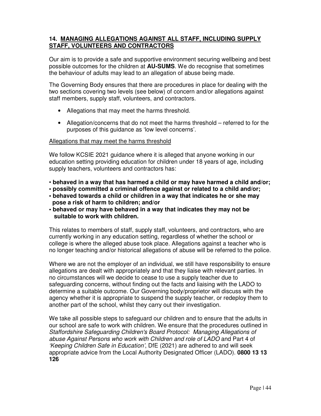# **14. MANAGING ALLEGATIONS AGAINST ALL STAFF, INCLUDING SUPPLY STAFF, VOLUNTEERS AND CONTRACTORS**

Our aim is to provide a safe and supportive environment securing wellbeing and best possible outcomes for the children at **AU-SUMS**. We do recognise that sometimes the behaviour of adults may lead to an allegation of abuse being made.

The Governing Body ensures that there are procedures in place for dealing with the two sections covering two levels (see below) of concern and/or allegations against staff members, supply staff, volunteers, and contractors.

- Allegations that may meet the harms threshold.
- Allegation/concerns that do not meet the harms threshold referred to for the purposes of this guidance as 'low level concerns'.

#### Allegations that may meet the harms threshold

We follow KCSIE 2021 guidance where it is alleged that anyone working in our education setting providing education for children under 18 years of age, including supply teachers, volunteers and contractors has:

- **behaved in a way that has harmed a child or may have harmed a child and/or;**
- **possibly committed a criminal offence against or related to a child and/or;**
- **behaved towards a child or children in a way that indicates he or she may pose a risk of harm to children; and/or**
- **behaved or may have behaved in a way that indicates they may not be suitable to work with children.**

This relates to members of staff, supply staff, volunteers, and contractors, who are currently working in any education setting, regardless of whether the school or college is where the alleged abuse took place. Allegations against a teacher who is no longer teaching and/or historical allegations of abuse will be referred to the police.

Where we are not the employer of an individual, we still have responsibility to ensure allegations are dealt with appropriately and that they liaise with relevant parties. In no circumstances will we decide to cease to use a supply teacher due to safeguarding concerns, without finding out the facts and liaising with the LADO to determine a suitable outcome. Our Governing body/proprietor will discuss with the agency whether it is appropriate to suspend the supply teacher, or redeploy them to another part of the school, whilst they carry out their investigation.

We take all possible steps to safeguard our children and to ensure that the adults in our school are safe to work with children. We ensure that the procedures outlined in *Staffordshire Safeguarding Children's Board Protocol: Managing Allegations of abuse Against Persons who work with Children and role of LADO* and Part 4 of *'Keeping Children Safe in Education'*, DfE (2021) are adhered to and will seek appropriate advice from the Local Authority Designated Officer (LADO). **0800 13 13 126**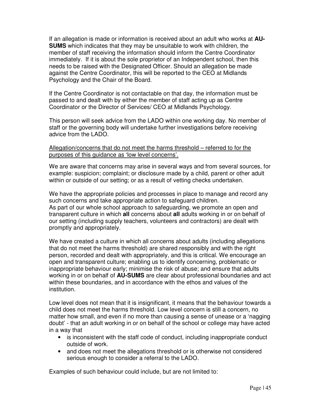If an allegation is made or information is received about an adult who works at **AU-SUMS** which indicates that they may be unsuitable to work with children, the member of staff receiving the information should inform the Centre Coordinator immediately. If it is about the sole proprietor of an Independent school, then this needs to be raised with the Designated Officer. Should an allegation be made against the Centre Coordinator, this will be reported to the CEO at Midlands Psychology and the Chair of the Board.

If the Centre Coordinator is not contactable on that day, the information must be passed to and dealt with by either the member of staff acting up as Centre Coordinator or the Director of Services/ CEO at Midlands Psychology.

This person will seek advice from the LADO within one working day. No member of staff or the governing body will undertake further investigations before receiving advice from the LADO.

#### Allegation/concerns that do not meet the harms threshold – referred to for the purposes of this guidance as 'low level concerns'.

We are aware that concerns may arise in several ways and from several sources, for example: suspicion; complaint; or disclosure made by a child, parent or other adult within or outside of our setting; or as a result of vetting checks undertaken.

We have the appropriate policies and processes in place to manage and record any such concerns and take appropriate action to safeguard children. As part of our whole school approach to safeguarding, we promote an open and transparent culture in which **all** concerns about **all** adults working in or on behalf of our setting (including supply teachers, volunteers and contractors) are dealt with promptly and appropriately.

We have created a culture in which all concerns about adults (including allegations that do not meet the harms threshold) are shared responsibly and with the right person, recorded and dealt with appropriately, and this is critical. We encourage an open and transparent culture; enabling us to identify concerning, problematic or inappropriate behaviour early; minimise the risk of abuse; and ensure that adults working in or on behalf of **AU-SUMS** are clear about professional boundaries and act within these boundaries, and in accordance with the ethos and values of the institution.

Low level does not mean that it is insignificant, it means that the behaviour towards a child does not meet the harms threshold. Low level concern is still a concern, no matter how small, and even if no more than causing a sense of unease or a 'nagging doubt' - that an adult working in or on behalf of the school or college may have acted in a way that

- is inconsistent with the staff code of conduct, including inappropriate conduct outside of work.
- and does not meet the allegations threshold or is otherwise not considered serious enough to consider a referral to the LADO.

Examples of such behaviour could include, but are not limited to: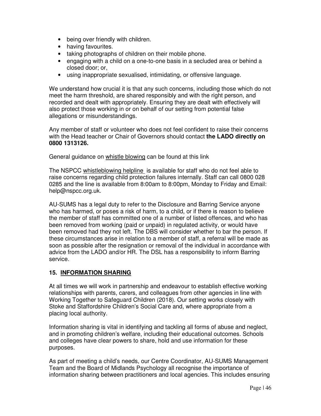- being over friendly with children.
- having favourites.
- taking photographs of children on their mobile phone.
- engaging with a child on a one-to-one basis in a secluded area or behind a closed door; or,
- using inappropriate sexualised, intimidating, or offensive language.

We understand how crucial it is that any such concerns, including those which do not meet the harm threshold, are shared responsibly and with the right person, and recorded and dealt with appropriately. Ensuring they are dealt with effectively will also protect those working in or on behalf of our setting from potential false allegations or misunderstandings.

Any member of staff or volunteer who does not feel confident to raise their concerns with the Head teacher or Chair of Governors should contact **the LADO directly on 0800 1313126.** 

General guidance on whistle blowing can be found at this link

The NSPCC whistleblowing helpline is available for staff who do not feel able to raise concerns regarding child protection failures internally. Staff can call 0800 028 0285 and the line is available from 8:00am to 8:00pm, Monday to Friday and Email: help@nspcc.org.uk.

AU-SUMS has a legal duty to refer to the Disclosure and Barring Service anyone who has harmed, or poses a risk of harm, to a child, or if there is reason to believe the member of staff has committed one of a number of listed offences, and who has been removed from working (paid or unpaid) in regulated activity, or would have been removed had they not left. The DBS will consider whether to bar the person. If these circumstances arise in relation to a member of staff, a referral will be made as soon as possible after the resignation or removal of the individual in accordance with advice from the LADO and/or HR. The DSL has a responsibility to inform Barring service.

# **15. INFORMATION SHARING**

At all times we will work in partnership and endeavour to establish effective working relationships with parents, carers, and colleagues from other agencies in line with Working Together to Safeguard Children (2018). Our setting works closely with Stoke and Staffordshire Children's Social Care and, where appropriate from a placing local authority.

Information sharing is vital in identifying and tackling all forms of abuse and neglect, and in promoting children's welfare, including their educational outcomes. Schools and colleges have clear powers to share, hold and use information for these purposes.

As part of meeting a child's needs, our Centre Coordinator, AU-SUMS Management Team and the Board of Midlands Psychology all recognise the importance of information sharing between practitioners and local agencies. This includes ensuring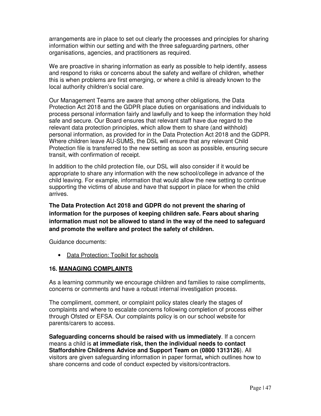arrangements are in place to set out clearly the processes and principles for sharing information within our setting and with the three safeguarding partners, other organisations, agencies, and practitioners as required.

We are proactive in sharing information as early as possible to help identify, assess and respond to risks or concerns about the safety and welfare of children, whether this is when problems are first emerging, or where a child is already known to the local authority children's social care.

Our Management Teams are aware that among other obligations, the Data Protection Act 2018 and the GDPR place duties on organisations and individuals to process personal information fairly and lawfully and to keep the information they hold safe and secure. Our Board ensures that relevant staff have due regard to the relevant data protection principles, which allow them to share (and withhold) personal information, as provided for in the Data Protection Act 2018 and the GDPR. Where children leave AU-SUMS, the DSL will ensure that any relevant Child Protection file is transferred to the new setting as soon as possible, ensuring secure transit, with confirmation of receipt.

In addition to the child protection file, our DSL will also consider if it would be appropriate to share any information with the new school/college in advance of the child leaving. For example, information that would allow the new setting to continue supporting the victims of abuse and have that support in place for when the child arrives.

**The Data Protection Act 2018 and GDPR do not prevent the sharing of information for the purposes of keeping children safe. Fears about sharing information must not be allowed to stand in the way of the need to safeguard and promote the welfare and protect the safety of children.** 

Guidance documents:

• Data Protection: Toolkit for schools

# **16. MANAGING COMPLAINTS**

As a learning community we encourage children and families to raise compliments, concerns or comments and have a robust internal investigation process.

The compliment, comment, or complaint policy states clearly the stages of complaints and where to escalate concerns following completion of process either through Ofsted or EFSA. Our complaints policy is on our school website for parents/carers to access.

**Safeguarding concerns should be raised with us immediately**. If a concern means a child is **at immediate risk, then the individual needs to contact Staffordshire Childrens Advice and Support Team on (0800 1313126**). All visitors are given safeguarding information in paper format**,** which outlines how to share concerns and code of conduct expected by visitors/contractors.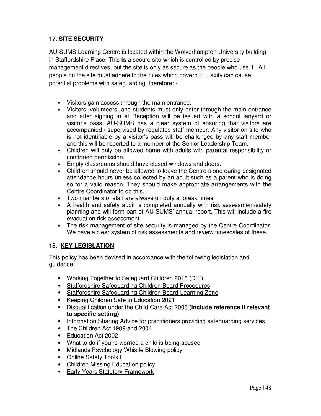# **17. SITE SECURITY**

AU-SUMS Learning Centre is located within the Wolverhampton University building in Staffordshire Place. This **is** a secure site which is controlled by precise management directives, but the site is only as secure as the people who use it. All people on the site must adhere to the rules which govern it. Laxity can cause potential problems with safeguarding, therefore: -

- Visitors gain access through the main entrance.
- Visitors, volunteers, and students must only enter through the main entrance and after signing in at Reception will be issued with a school lanyard or visitor's pass. AU-SUMS has a clear system of ensuring that visitors are accompanied / supervised by regulated staff member. Any visitor on site who is not identifiable by a visitor's pass will be challenged by any staff member and this will be reported to a member of the Senior Leadership Team.
- Children will only be allowed home with adults with parental responsibility or confirmed permission.
- Empty classrooms should have closed windows and doors.
- Children should never be allowed to leave the Centre alone during designated attendance hours unless collected by an adult such as a parent who is doing so for a valid reason. They should make appropriate arrangements with the Centre Coordinator to do this.
- Two members of staff are always on duty at break times.
- A health and safety audit is completed annually with risk assessment/safety planning and will form part of AU-SUMS' annual report. This will include a fire evacuation risk assessment.
- The risk management of site security is managed by the Centre Coordinator. We have a clear system of risk assessments and review timescales of these.

# **18. KEY LEGISLATION**

This policy has been devised in accordance with the following legislation and guidance:

- Working Together to Safeguard Children 2018 (DfE)
- Staffordshire Safeguarding Children Board Procedures
- Staffordshire Safeguarding Children Board-Learning Zone
- Keeping Children Safe in Education 2021
- Disqualification under the Child Care Act 2006 **(include reference if relevant to specific setting)**
- Information Sharing Advice for practitioners providing safeguarding services
- The Children Act 1989 and 2004
- Education Act 2002
- What to do if you're worried a child is being abused
- Midlands Psychology Whistle Blowing policy
- Online Safety Toolkit
- Children Missing Education policy
- Early Years Statutory Framework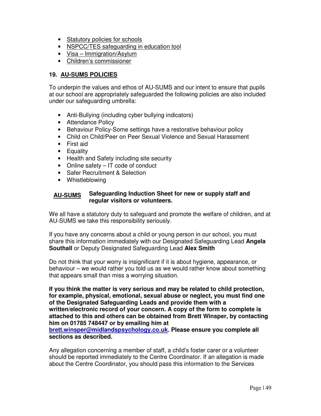- Statutory policies for schools
- NSPCC/TES safeguarding in education tool
- Visa Immigration/Asylum
- Children's commissioner

# **19. AU-SUMS POLICIES**

To underpin the values and ethos of AU-SUMS and our intent to ensure that pupils at our school are appropriately safeguarded the following policies are also included under our safeguarding umbrella:

- Anti-Bullying (including cyber bullying indicators)
- Attendance Policy
- Behaviour Policy-Some settings have a restorative behaviour policy
- Child on Child/Peer on Peer Sexual Violence and Sexual Harassment
- First aid
- Equality
- Health and Safety including site security
- Online safety IT code of conduct
- Safer Recruitment & Selection
- Whistleblowing

#### **Safeguarding Induction Sheet for new or supply staff and regular visitors or volunteers. AU-SUMS**

We all have a statutory duty to safeguard and promote the welfare of children, and at AU-SUMS we take this responsibility seriously.

If you have any concerns about a child or young person in our school, you must share this information immediately with our Designated Safeguarding Lead **Angela Southall** or Deputy Designated Safeguarding Lead **Alex Smith**

Do not think that your worry is insignificant if it is about hygiene, appearance, or behaviour – we would rather you told us as we would rather know about something that appears small than miss a worrying situation.

**If you think the matter is very serious and may be related to child protection, for example, physical, emotional, sexual abuse or neglect, you must find one of the Designated Safeguarding Leads and provide them with a written/electronic record of your concern. A copy of the form to complete is attached to this and others can be obtained from Brett Winsper, by contacting him on 01785 748447 or by emailing him at** 

**brett.winsper@midlandspsychology.co.uk. Please ensure you complete all sections as described.** 

Any allegation concerning a member of staff, a child's foster carer or a volunteer should be reported immediately to the Centre Coordinator. If an allegation is made about the Centre Coordinator, you should pass this information to the Services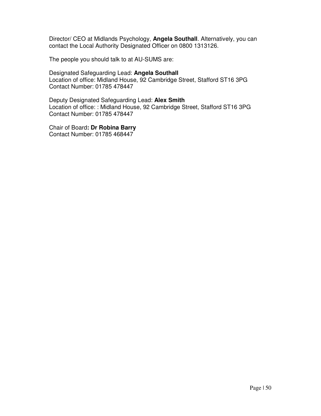Director/ CEO at Midlands Psychology, **Angela Southall**. Alternatively, you can contact the Local Authority Designated Officer on 0800 1313126.

The people you should talk to at AU-SUMS are:

Designated Safeguarding Lead: **Angela Southall** Location of office: Midland House, 92 Cambridge Street, Stafford ST16 3PG Contact Number: 01785 478447

Deputy Designated Safeguarding Lead: **Alex Smith** Location of office: : Midland House, 92 Cambridge Street, Stafford ST16 3PG Contact Number: 01785 478447

Chair of Board**: Dr Robina Barry**  Contact Number: 01785 468447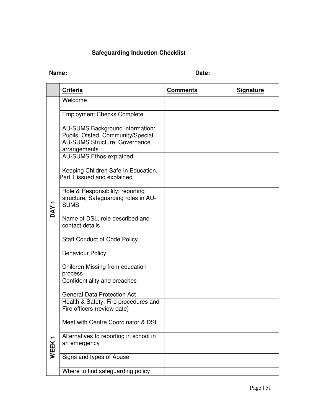# **Safeguarding Induction Checklist**

# **Name:** Date:

|                  | <b>Criteria</b>                                                                         | <b>Comments</b> | <b>Signature</b> |
|------------------|-----------------------------------------------------------------------------------------|-----------------|------------------|
| DAY <sub>1</sub> | Welcome                                                                                 |                 |                  |
|                  | <b>Employment Checks Complete</b>                                                       |                 |                  |
|                  | AU-SUMS Background information:<br>Pupils, Ofsted, Community/Special                    |                 |                  |
|                  | <b>AU-SUMS Structure, Governance</b><br>arrangements                                    |                 |                  |
|                  | <b>AU-SUMS Ethos explained</b>                                                          |                 |                  |
|                  | Keeping Children Safe In Education,<br>Part 1 issued and explained                      |                 |                  |
|                  | Role & Responsibility: reporting<br>structure, Safeguarding roles in AU-<br><b>SUMS</b> |                 |                  |
|                  | Name of DSL, role described and<br>contact details                                      |                 |                  |
|                  | <b>Staff Conduct of Code Policy</b>                                                     |                 |                  |
|                  | <b>Behaviour Policy</b>                                                                 |                 |                  |
|                  | Children Missing from education<br>process                                              |                 |                  |
|                  | Confidentiality and breaches                                                            |                 |                  |
|                  | <b>General Data Protection Act</b>                                                      |                 |                  |
|                  | Health & Safety: Fire procedures and<br>Fire officers (review date)                     |                 |                  |
| WEEK1            | Meet with Centre Coordinator & DSL                                                      |                 |                  |
|                  | Alternatives to reporting in school in<br>an emergency                                  |                 |                  |
|                  | Signs and types of Abuse                                                                |                 |                  |
|                  | Where to find safeguarding policy                                                       |                 |                  |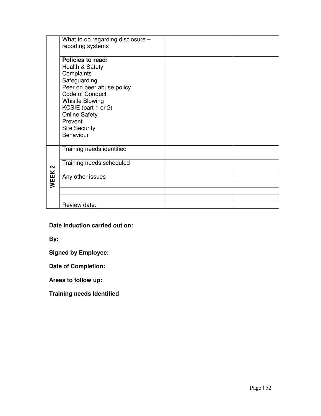|                   | What to do regarding disclosure -<br>reporting systems |  |
|-------------------|--------------------------------------------------------|--|
|                   | Policies to read:                                      |  |
|                   | Health & Safety                                        |  |
|                   | Complaints                                             |  |
|                   | Safeguarding<br>Peer on peer abuse policy              |  |
|                   | Code of Conduct                                        |  |
|                   | <b>Whistle Blowing</b>                                 |  |
|                   | KCSIE (part 1 or 2)<br><b>Online Safety</b>            |  |
|                   | Prevent                                                |  |
|                   | <b>Site Security</b>                                   |  |
|                   | Behaviour                                              |  |
|                   | Training needs identified                              |  |
| $\mathbf{\Omega}$ | Training needs scheduled                               |  |
| WEEK              | Any other issues                                       |  |
|                   |                                                        |  |
|                   |                                                        |  |
|                   | Review date:                                           |  |

**Date Induction carried out on:** 

**By:** 

**Signed by Employee:** 

**Date of Completion:** 

**Areas to follow up:** 

**Training needs Identified**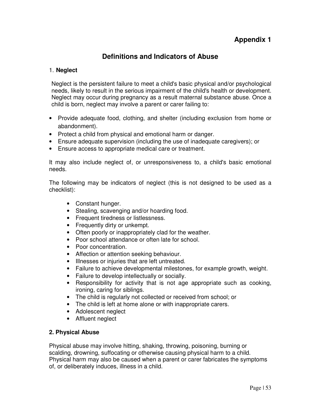# **Definitions and Indicators of Abuse**

# 1. **Neglect**

Neglect is the persistent failure to meet a child's basic physical and/or psychological needs, likely to result in the serious impairment of the child's health or development. Neglect may occur during pregnancy as a result maternal substance abuse. Once a child is born, neglect may involve a parent or carer failing to:

- Provide adequate food, clothing, and shelter (including exclusion from home or abandonment).
- Protect a child from physical and emotional harm or danger.
- Ensure adequate supervision (including the use of inadequate caregivers); or
- Ensure access to appropriate medical care or treatment.

It may also include neglect of, or unresponsiveness to, a child's basic emotional needs.

The following may be indicators of neglect (this is not designed to be used as a checklist):

- Constant hunger.
- Stealing, scavenging and/or hoarding food.
- Frequent tiredness or listlessness.
- Frequently dirty or unkempt.
- Often poorly or inappropriately clad for the weather.
- Poor school attendance or often late for school.
- Poor concentration.
- Affection or attention seeking behaviour.
- Illnesses or injuries that are left untreated.
- Failure to achieve developmental milestones, for example growth, weight.
- Failure to develop intellectually or socially.
- Responsibility for activity that is not age appropriate such as cooking, ironing, caring for siblings.
- The child is regularly not collected or received from school; or
- The child is left at home alone or with inappropriate carers.
- Adolescent neglect
- Affluent neglect

#### **2. Physical Abuse**

Physical abuse may involve hitting, shaking, throwing, poisoning, burning or scalding, drowning, suffocating or otherwise causing physical harm to a child. Physical harm may also be caused when a parent or carer fabricates the symptoms of, or deliberately induces, illness in a child.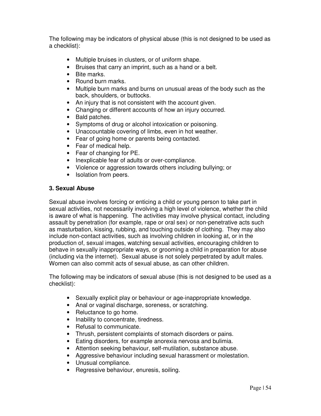The following may be indicators of physical abuse (this is not designed to be used as a checklist):

- Multiple bruises in clusters, or of uniform shape.
- Bruises that carry an imprint, such as a hand or a belt.
- Bite marks.
- Round burn marks.
- Multiple burn marks and burns on unusual areas of the body such as the back, shoulders, or buttocks.
- An injury that is not consistent with the account given.
- Changing or different accounts of how an injury occurred.
- Bald patches.
- Symptoms of drug or alcohol intoxication or poisoning.
- Unaccountable covering of limbs, even in hot weather.
- Fear of going home or parents being contacted.
- Fear of medical help.
- Fear of changing for PE.
- Inexplicable fear of adults or over-compliance.
- Violence or aggression towards others including bullying; or
- Isolation from peers.

#### **3. Sexual Abuse**

Sexual abuse involves forcing or enticing a child or young person to take part in sexual activities, not necessarily involving a high level of violence, whether the child is aware of what is happening. The activities may involve physical contact, including assault by penetration (for example, rape or oral sex) or non-penetrative acts such as masturbation, kissing, rubbing, and touching outside of clothing*.* They may also include non-contact activities, such as involving children in looking at, or in the production of, sexual images, watching sexual activities, encouraging children to behave in sexually inappropriate ways, or grooming a child in preparation for abuse (including via the internet). Sexual abuse is not solely perpetrated by adult males. Women can also commit acts of sexual abuse, as can other children.

The following may be indicators of sexual abuse (this is not designed to be used as a checklist):

- Sexually explicit play or behaviour or age-inappropriate knowledge.
- Anal or vaginal discharge, soreness, or scratching.
- Reluctance to go home.
- Inability to concentrate, tiredness.
- Refusal to communicate.
- Thrush, persistent complaints of stomach disorders or pains.
- Eating disorders, for example anorexia nervosa and bulimia.
- Attention seeking behaviour, self-mutilation, substance abuse.
- Aggressive behaviour including sexual harassment or molestation.
- Unusual compliance.
- Regressive behaviour, enuresis, soiling.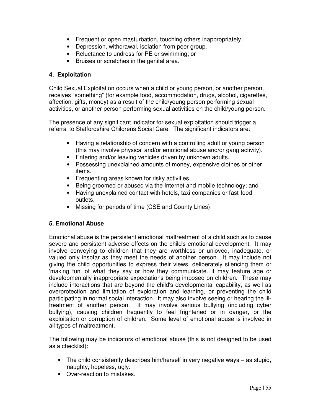- Frequent or open masturbation, touching others inappropriately.
- Depression, withdrawal, isolation from peer group.
- Reluctance to undress for PE or swimming; or
- Bruises or scratches in the genital area.

# **4. Exploitation**

Child Sexual Exploitation occurs when a child or young person, or another person, receives "something" (for example food, accommodation, drugs, alcohol, cigarettes, affection, gifts, money) as a result of the child/young person performing sexual activities, or another person performing sexual activities on the child/young person.

The presence of any significant indicator for sexual exploitation should trigger a referral to Staffordshire Childrens Social Care. The significant indicators are:

- Having a relationship of concern with a controlling adult or young person (this may involve physical and/or emotional abuse and/or gang activity).
- Entering and/or leaving vehicles driven by unknown adults.
- Possessing unexplained amounts of money, expensive clothes or other items.
- Frequenting areas known for risky activities.
- Being groomed or abused via the Internet and mobile technology; and
- Having unexplained contact with hotels, taxi companies or fast-food outlets.
- Missing for periods of time (CSE and County Lines)

# **5. Emotional Abuse**

Emotional abuse is the persistent emotional maltreatment of a child such as to cause severe and persistent adverse effects on the child's emotional development. It may involve conveying to children that they are worthless or unloved, inadequate, or valued only insofar as they meet the needs of another person. It may include not giving the child opportunities to express their views, deliberately silencing them or 'making fun' of what they say or how they communicate. It may feature age or developmentally inappropriate expectations being imposed on children. These may include interactions that are beyond the child's developmental capability, as well as overprotection and limitation of exploration and learning, or preventing the child participating in normal social interaction. It may also involve seeing or hearing the illtreatment of another person. It may involve serious bullying (including cyber bullying)*,* causing children frequently to feel frightened or in danger, or the exploitation or corruption of children. Some level of emotional abuse is involved in all types of maltreatment.

The following may be indicators of emotional abuse (this is not designed to be used as a checklist):

- The child consistently describes him/herself in very negative ways as stupid, naughty, hopeless, ugly.
- Over-reaction to mistakes.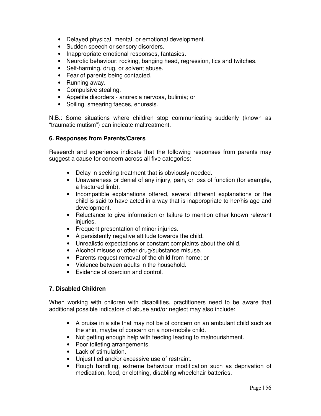- Delayed physical, mental, or emotional development.
- Sudden speech or sensory disorders.
- Inappropriate emotional responses, fantasies.
- Neurotic behaviour: rocking, banging head, regression, tics and twitches.
- Self-harming, drug, or solvent abuse.
- Fear of parents being contacted.
- Running away.
- Compulsive stealing.
- Appetite disorders anorexia nervosa, bulimia; or
- Soiling, smearing faeces, enuresis.

N.B.: Some situations where children stop communicating suddenly (known as "traumatic mutism") can indicate maltreatment.

#### **6. Responses from Parents/Carers**

Research and experience indicate that the following responses from parents may suggest a cause for concern across all five categories:

- Delay in seeking treatment that is obviously needed.
- Unawareness or denial of any injury, pain, or loss of function (for example, a fractured limb).
- Incompatible explanations offered, several different explanations or the child is said to have acted in a way that is inappropriate to her/his age and development.
- Reluctance to give information or failure to mention other known relevant injuries.
- Frequent presentation of minor injuries.
- A persistently negative attitude towards the child.
- Unrealistic expectations or constant complaints about the child.
- Alcohol misuse or other drug/substance misuse.
- Parents request removal of the child from home; or
- Violence between adults in the household.
- Evidence of coercion and control.

#### **7. Disabled Children**

When working with children with disabilities, practitioners need to be aware that additional possible indicators of abuse and/or neglect may also include:

- A bruise in a site that may not be of concern on an ambulant child such as the shin, maybe of concern on a non-mobile child.
- Not getting enough help with feeding leading to malnourishment.
- Poor toileting arrangements.
- Lack of stimulation.
- Uniustified and/or excessive use of restraint.
- Rough handling, extreme behaviour modification such as deprivation of medication, food, or clothing, disabling wheelchair batteries.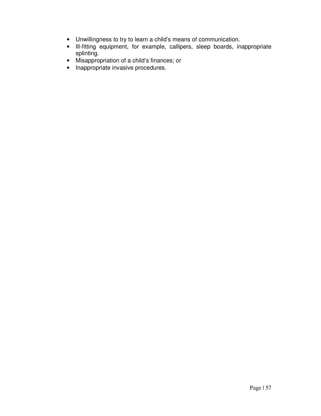- Unwillingness to try to learn a child's means of communication.
- Ill-fitting equipment, for example, callipers, sleep boards, inappropriate splinting.
- Misappropriation of a child's finances; or
- Inappropriate invasive procedures.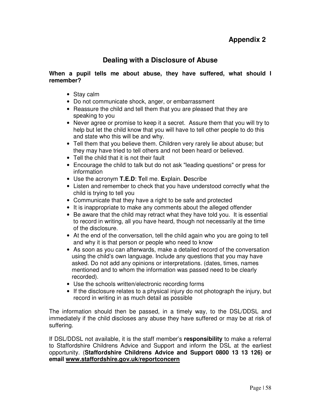# **Appendix 2**

# **Dealing with a Disclosure of Abuse**

#### **When a pupil tells me about abuse, they have suffered, what should I remember?**

- Stay calm
- Do not communicate shock, anger, or embarrassment
- Reassure the child and tell them that you are pleased that they are speaking to you
- Never agree or promise to keep it a secret. Assure them that you will try to help but let the child know that you will have to tell other people to do this and state who this will be and why.
- Tell them that you believe them. Children very rarely lie about abuse; but they may have tried to tell others and not been heard or believed.
- Tell the child that it is not their fault
- Encourage the child to talk but do not ask "leading questions" or press for information
- Use the acronym **T.E.D**: **T**ell me. **E**xplain. **D**escribe
- Listen and remember to check that you have understood correctly what the child is trying to tell you
- Communicate that they have a right to be safe and protected
- It is inappropriate to make any comments about the alleged offender
- Be aware that the child may retract what they have told you. It is essential to record in writing, all you have heard, though not necessarily at the time of the disclosure.
- At the end of the conversation, tell the child again who you are going to tell and why it is that person or people who need to know
- As soon as you can afterwards, make a detailed record of the conversation using the child's own language. Include any questions that you may have asked. Do not add any opinions or interpretations. (dates, times, names mentioned and to whom the information was passed need to be clearly recorded).
- Use the schools written/electronic recording forms
- If the disclosure relates to a physical injury do not photograph the injury, but record in writing in as much detail as possible

The information should then be passed, in a timely way, to the DSL/DDSL and immediately if the child discloses any abuse they have suffered or may be at risk of suffering.

If DSL/DDSL not available, it is the staff member's **responsibility** to make a referral to Staffordshire Childrens Advice and Support and inform the DSL at the earliest opportunity. (**Staffordshire Childrens Advice and Support 0800 13 13 126) or email www.staffordshire.gov.uk/reportconcern**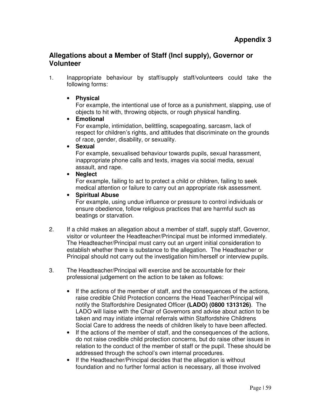# **Allegations about a Member of Staff (Incl supply), Governor or Volunteer**

1. Inappropriate behaviour by staff/supply staff/volunteers could take the following forms:

# • **Physical**

For example, the intentional use of force as a punishment, slapping, use of objects to hit with, throwing objects, or rough physical handling.

# • **Emotional**

For example, intimidation, belittling, scapegoating, sarcasm, lack of respect for children's rights, and attitudes that discriminate on the grounds of race, gender, disability, or sexuality.

#### • **Sexual**

For example, sexualised behaviour towards pupils, sexual harassment, inappropriate phone calls and texts, images via social media, sexual assault, and rape.

# • **Neglect**

For example, failing to act to protect a child or children, failing to seek medical attention or failure to carry out an appropriate risk assessment.

# • **Spiritual Abuse**

For example, using undue influence or pressure to control individuals or ensure obedience, follow religious practices that are harmful such as beatings or starvation.

- 2. If a child makes an allegation about a member of staff, supply staff, Governor, visitor or volunteer the Headteacher/Principal must be informed immediately. The Headteacher/Principal must carry out an urgent initial consideration to establish whether there is substance to the allegation. The Headteacher or Principal should not carry out the investigation him/herself or interview pupils.
- 3. The Headteacher/Principal will exercise and be accountable for their professional judgement on the action to be taken as follows:
	- If the actions of the member of staff, and the consequences of the actions, raise credible Child Protection concerns the Head Teacher/Principal will notify the Staffordshire Designated Officer **(LADO) (0800 1313126)**. The LADO will liaise with the Chair of Governors and advise about action to be taken and may initiate internal referrals within Staffordshire Childrens Social Care to address the needs of children likely to have been affected.
	- If the actions of the member of staff, and the consequences of the actions, do not raise credible child protection concerns, but do raise other issues in relation to the conduct of the member of staff or the pupil. These should be addressed through the school's own internal procedures.
	- If the Headteacher/Principal decides that the allegation is without foundation and no further formal action is necessary, all those involved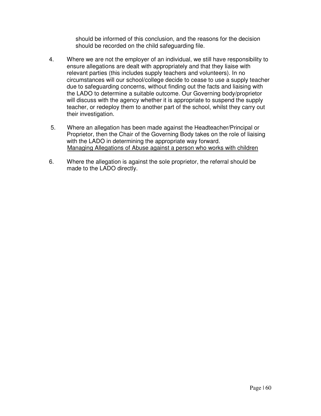should be informed of this conclusion, and the reasons for the decision should be recorded on the child safeguarding file.

- 4. Where we are not the employer of an individual, we still have responsibility to ensure allegations are dealt with appropriately and that they liaise with relevant parties (this includes supply teachers and volunteers). In no circumstances will our school/college decide to cease to use a supply teacher due to safeguarding concerns, without finding out the facts and liaising with the LADO to determine a suitable outcome. Our Governing body/proprietor will discuss with the agency whether it is appropriate to suspend the supply teacher, or redeploy them to another part of the school, whilst they carry out their investigation.
- 5. Where an allegation has been made against the Headteacher/Principal or Proprietor, then the Chair of the Governing Body takes on the role of liaising with the LADO in determining the appropriate way forward. Managing Allegations of Abuse against a person who works with children
- 6. Where the allegation is against the sole proprietor, the referral should be made to the LADO directly.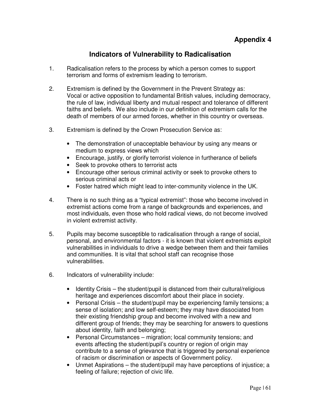# **Indicators of Vulnerability to Radicalisation**

- 1. Radicalisation refers to the process by which a person comes to support terrorism and forms of extremism leading to terrorism.
- 2. Extremism is defined by the Government in the Prevent Strategy as: Vocal or active opposition to fundamental British values, including democracy, the rule of law, individual liberty and mutual respect and tolerance of different faiths and beliefs. We also include in our definition of extremism calls for the death of members of our armed forces, whether in this country or overseas.
- 3. Extremism is defined by the Crown Prosecution Service as:
	- The demonstration of unacceptable behaviour by using any means or medium to express views which
	- Encourage, justify, or glorify terrorist violence in furtherance of beliefs
	- Seek to provoke others to terrorist acts
	- Encourage other serious criminal activity or seek to provoke others to serious criminal acts or
	- Foster hatred which might lead to inter-community violence in the UK.
- 4. There is no such thing as a "typical extremist": those who become involved in extremist actions come from a range of backgrounds and experiences, and most individuals, even those who hold radical views, do not become involved in violent extremist activity.
- 5. Pupils may become susceptible to radicalisation through a range of social, personal, and environmental factors - it is known that violent extremists exploit vulnerabilities in individuals to drive a wedge between them and their families and communities. It is vital that school staff can recognise those vulnerabilities.
- 6. Indicators of vulnerability include:
	- Identity Crisis the student/pupil is distanced from their cultural/religious heritage and experiences discomfort about their place in society.
	- Personal Crisis the student/pupil may be experiencing family tensions; a sense of isolation; and low self-esteem; they may have dissociated from their existing friendship group and become involved with a new and different group of friends; they may be searching for answers to questions about identity, faith and belonging;
	- Personal Circumstances migration; local community tensions; and events affecting the student/pupil's country or region of origin may contribute to a sense of grievance that is triggered by personal experience of racism or discrimination or aspects of Government policy.
	- Unmet Aspirations the student/pupil may have perceptions of injustice; a feeling of failure; rejection of civic life.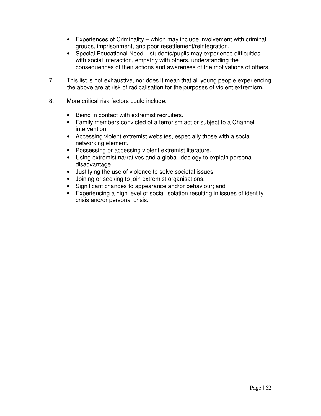- Experiences of Criminality which may include involvement with criminal groups, imprisonment, and poor resettlement/reintegration.
- Special Educational Need students/pupils may experience difficulties with social interaction, empathy with others, understanding the consequences of their actions and awareness of the motivations of others.
- 7. This list is not exhaustive, nor does it mean that all young people experiencing the above are at risk of radicalisation for the purposes of violent extremism.
- 8. More critical risk factors could include:
	- Being in contact with extremist recruiters.
	- Family members convicted of a terrorism act or subject to a Channel intervention.
	- Accessing violent extremist websites, especially those with a social networking element.
	- Possessing or accessing violent extremist literature.
	- Using extremist narratives and a global ideology to explain personal disadvantage.
	- Justifying the use of violence to solve societal issues.
	- Joining or seeking to join extremist organisations.
	- Significant changes to appearance and/or behaviour; and
	- Experiencing a high level of social isolation resulting in issues of identity crisis and/or personal crisis.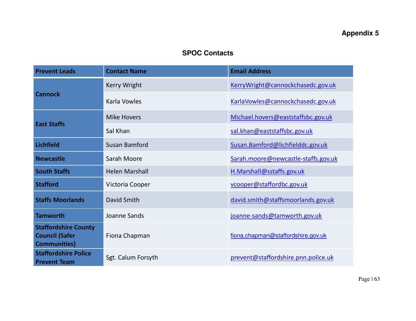# **Appendix 5**

# **SPOC Contacts**

| <b>Prevent Leads</b>                                                         | <b>Contact Name</b>   | <b>Email Address</b>                |
|------------------------------------------------------------------------------|-----------------------|-------------------------------------|
|                                                                              | Kerry Wright          | KerryWright@cannockchasedc.gov.uk   |
| <b>Cannock</b>                                                               | Karla Vowles          | KarlaVowles@cannockchasedc.gov.uk   |
|                                                                              | <b>Mike Hovers</b>    | Michael.hovers@eaststaffsbc.gov.uk  |
| <b>East Staffs</b>                                                           | Sal Khan              | sal.khan@eaststaffsbc.gov.uk        |
| <b>Lichfield</b>                                                             | Susan Bamford         | Susan.Bamford@lichfielddc.gov.uk    |
| <b>Newcastle</b>                                                             | Sarah Moore           | Sarah.moore@newcastle-staffs.gov.uk |
| <b>South Staffs</b>                                                          | <b>Helen Marshall</b> | H.Marshall@sstaffs.gov.uk           |
| <b>Stafford</b>                                                              | Victoria Cooper       | vcooper@staffordbc.gov.uk           |
| <b>Staffs Moorlands</b>                                                      | David Smith           | david.smith@staffsmoorlands.gov.uk  |
| <b>Tamworth</b>                                                              | Joanne Sands          | joanne-sands@tamworth.gov.uk        |
| <b>Staffordshire County</b><br><b>Council (Safer</b><br><b>Communities</b> ) | Fiona Chapman         | fiona.chapman@staffordshire.gov.uk  |
| <b>Staffordshire Police</b><br><b>Prevent Team</b>                           | Sgt. Calum Forsyth    | prevent@staffordshire.pnn.police.uk |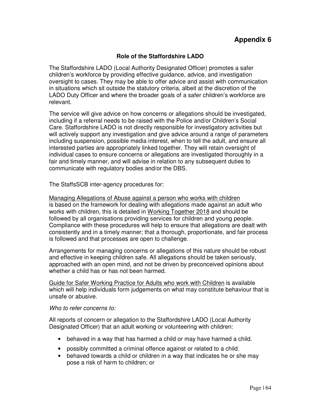# **Role of the Staffordshire LADO**

The Staffordshire LADO (Local Authority Designated Officer) promotes a safer children's workforce by providing effective guidance, advice, and investigation oversight to cases. They may be able to offer advice and assist with communication in situations which sit outside the statutory criteria, albeit at the discretion of the LADO Duty Officer and where the broader goals of a safer children's workforce are relevant.

The service will give advice on how concerns or allegations should be investigated, including if a referral needs to be raised with the Police and/or Children's Social Care. Staffordshire LADO is not directly responsible for investigatory activities but will actively support any investigation and give advice around a range of parameters including suspension, possible media interest, when to tell the adult, and ensure all interested parties are appropriately linked together. They will retain oversight of individual cases to ensure concerns or allegations are investigated thoroughly in a fair and timely manner, and will advise in relation to any subsequent duties to communicate with regulatory bodies and/or the DBS.

The StaffsSCB inter-agency procedures for:

Managing Allegations of Abuse against a person who works with children is based on the framework for dealing with allegations made against an adult who works with children, this is detailed in Working Together 2018 and should be followed by all organisations providing services for children and young people. Compliance with these procedures will help to ensure that allegations are dealt with consistently and in a timely manner; that a thorough, proportionate, and fair process is followed and that processes are open to challenge.

Arrangements for managing concerns or allegations of this nature should be robust and effective in keeping children safe. All allegations should be taken seriously, approached with an open mind, and not be driven by preconceived opinions about whether a child has or has not been harmed.

Guide for Safer Working Practice for Adults who work with Children is available which will help individuals form judgements on what may constitute behaviour that is unsafe or abusive.

#### *Who to refer concerns to:*

All reports of concern or allegation to the Staffordshire LADO (Local Authority Designated Officer) that an adult working or volunteering with children:

- behaved in a way that has harmed a child or may have harmed a child.
- possibly committed a criminal offence against or related to a child.
- behaved towards a child or children in a way that indicates he or she may pose a risk of harm to children; or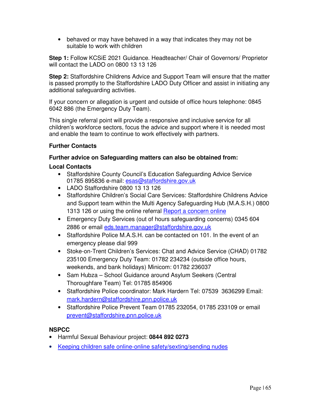• behaved or may have behaved in a way that indicates they may not be suitable to work with children

**Step 1:** Follow KCSiE 2021 Guidance. Headteacher/ Chair of Governors/ Proprietor will contact the LADO on 0800 13 13 126

**Step 2:** Staffordshire Childrens Advice and Support Team will ensure that the matter is passed promptly to the Staffordshire LADO Duty Officer and assist in initiating any additional safeguarding activities.

If your concern or allegation is urgent and outside of office hours telephone: 0845 6042 886 (the Emergency Duty Team).

This single referral point will provide a responsive and inclusive service for all children's workforce sectors, focus the advice and support where it is needed most and enable the team to continue to work effectively with partners.

# **Further Contacts**

#### **Further advice on Safeguarding matters can also be obtained from:**

#### **Local Contacts**

- Staffordshire County Council's Education Safeguarding Advice Service 01785 895836 e-mail: esas@staffordshire.gov.uk
- LADO Staffordshire 0800 13 13 126
- Staffordshire Children's Social Care Services: Staffordshire Childrens Advice and Support team within the Multi Agency Safeguarding Hub (M.A.S.H.) 0800 1313 126 or using the online referral Report a concern online
- Emergency Duty Services (out of hours safeguarding concerns) 0345 604 2886 or email eds.team.manager@staffordshire.gov.uk
- Staffordshire Police M.A.S.H. can be contacted on 101. In the event of an emergency please dial 999
- Stoke-on-Trent Children's Services: Chat and Advice Service (CHAD) 01782 235100 Emergency Duty Team: 01782 234234 (outside office hours, weekends, and bank holidays) Minicom: 01782 236037
- Sam Hubza School Guidance around Asylum Seekers (Central Thoroughfare Team) Tel: 01785 854906
- Staffordshire Police coordinator: Mark Hardern Tel: 07539 3636299 Email: mark.hardern@staffordshire.pnn.police.uk
- Staffordshire Police Prevent Team 01785 232054, 01785 233109 or email prevent@staffordshire.pnn.police.uk

#### **NSPCC**

- Harmful Sexual Behaviour project: **0844 892 0273**
- Keeping children safe online-online safety/sexting/sending nudes